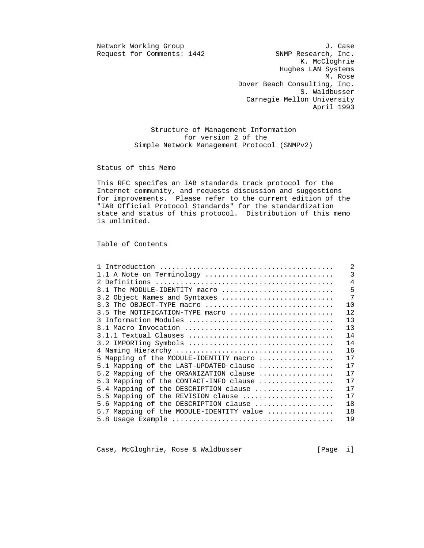Request for Comments: 1442

Network Working Group J. Case<br>Request for Comments: 1442 SNMP Research, Inc. K. McCloghrie Hughes LAN Systems M. Rose Dover Beach Consulting, Inc. S. Waldbusser Carnegie Mellon University April 1993

> Structure of Management Information for version 2 of the Simple Network Management Protocol (SNMPv2)

Status of this Memo

 This RFC specifes an IAB standards track protocol for the Internet community, and requests discussion and suggestions for improvements. Please refer to the current edition of the "IAB Official Protocol Standards" for the standardization state and status of this protocol. Distribution of this memo is unlimited.

Table of Contents

|                                          | $\overline{2}$ |
|------------------------------------------|----------------|
| 1.1 A Note on Terminology                | $\overline{3}$ |
|                                          | $\overline{4}$ |
| 3.1 The MODULE-IDENTITY macro            | 5              |
| 3.2 Object Names and Syntaxes            | 7              |
| 3.3 The OBJECT-TYPE macro                | 10             |
| 3.5 The NOTIFICATION-TYPE macro          | 12             |
| 3 Information Modules                    | 13             |
|                                          | 13             |
|                                          | 14             |
| 3.2 IMPORTing Symbols                    | 14             |
|                                          | 16             |
| 5 Mapping of the MODULE-IDENTITY macro   | 17             |
| 5.1 Mapping of the LAST-UPDATED clause   | 17             |
| 5.2 Mapping of the ORGANIZATION clause   | 17             |
| 5.3 Mapping of the CONTACT-INFO clause   | 17             |
| 5.4 Mapping of the DESCRIPTION clause    | 17             |
| 5.5 Mapping of the REVISION clause       | 17             |
| 5.6 Mapping of the DESCRIPTION clause    | 18             |
| 5.7 Mapping of the MODULE-IDENTITY value | 18             |
|                                          | 19             |

Case, McCloghrie, Rose & Waldbusser [Page i]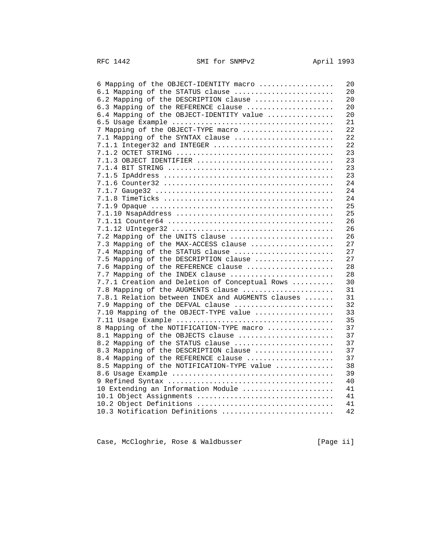| 6 Mapping of the OBJECT-IDENTITY macro<br>20            |
|---------------------------------------------------------|
| 6.1 Mapping of the STATUS clause<br>20                  |
| 6.2 Mapping of the DESCRIPTION clause<br>20             |
| 6.3 Mapping of the REFERENCE clause<br>20               |
| 6.4 Mapping of the OBJECT-IDENTITY value<br>20          |
| 21                                                      |
| 22<br>7 Mapping of the OBJECT-TYPE macro                |
| 22<br>7.1 Mapping of the SYNTAX clause                  |
| 22<br>7.1.1 Integer32 and INTEGER                       |
| 23                                                      |
| 23                                                      |
| 23                                                      |
| 23                                                      |
| 24                                                      |
| 24                                                      |
| 24                                                      |
| 25                                                      |
| 25                                                      |
| 26                                                      |
|                                                         |
| 26                                                      |
| 7.2 Mapping of the UNITS clause<br>26                   |
| 7.3 Mapping of the MAX-ACCESS clause<br>27              |
| 27<br>7.4 Mapping of the STATUS clause                  |
| 7.5 Mapping of the DESCRIPTION clause<br>27             |
| 7.6 Mapping of the REFERENCE clause<br>28               |
| 28<br>7.7 Mapping of the INDEX clause                   |
| 7.7.1 Creation and Deletion of Conceptual Rows<br>30    |
| 31<br>7.8 Mapping of the AUGMENTS clause                |
| 7.8.1 Relation between INDEX and AUGMENTS clauses<br>31 |
| 32<br>7.9 Mapping of the DEFVAL clause                  |
| 7.10 Mapping of the OBJECT-TYPE value<br>33             |
| 35                                                      |
| 8 Mapping of the NOTIFICATION-TYPE macro<br>37          |
| 8.1 Mapping of the OBJECTS clause<br>37                 |
| 8.2 Mapping of the STATUS clause<br>37                  |
| 8.3 Mapping of the DESCRIPTION clause<br>37             |
| 37<br>8.4 Mapping of the REFERENCE clause               |
| 8.5 Mapping of the NOTIFICATION-TYPE value<br>38        |
| 39                                                      |
| 40                                                      |
| 10 Extending an Information Module<br>41                |
| 10.1 Object Assignments<br>41                           |
| 10.2 Object Definitions<br>41                           |
| 10.3 Notification Definitions<br>42                     |
|                                                         |

Case, McCloghrie, Rose & Waldbusser [Page ii]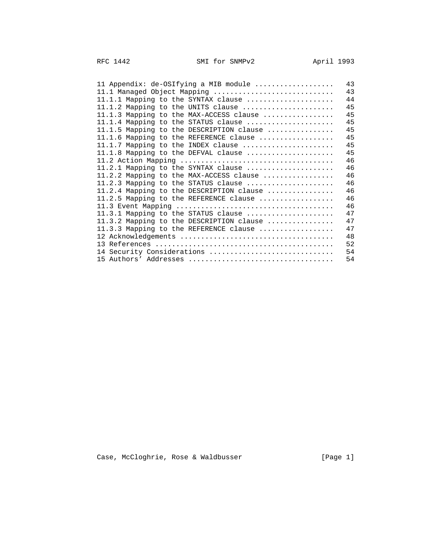| 11 Appendix: de-OSIfying a MIB module    | 43 |
|------------------------------------------|----|
| 11.1 Managed Object Mapping              | 43 |
| 11.1.1 Mapping to the SYNTAX clause      | 44 |
| 11.1.2 Mapping to the UNITS clause       | 45 |
| 11.1.3 Mapping to the MAX-ACCESS clause  | 45 |
| 11.1.4 Mapping to the STATUS clause      | 45 |
| 11.1.5 Mapping to the DESCRIPTION clause | 45 |
| 11.1.6 Mapping to the REFERENCE clause   | 45 |
| 11.1.7 Mapping to the INDEX clause       | 45 |
| 11.1.8 Mapping to the DEFVAL clause      | 45 |
|                                          | 46 |
| 11.2.1 Mapping to the SYNTAX clause      | 46 |
| 11.2.2 Mapping to the MAX-ACCESS clause  | 46 |
| 11.2.3 Mapping to the STATUS clause      | 46 |
| 11.2.4 Mapping to the DESCRIPTION clause | 46 |
| 11.2.5 Mapping to the REFERENCE clause   | 46 |
|                                          | 46 |
| 11.3.1 Mapping to the STATUS clause      | 47 |
| 11.3.2 Mapping to the DESCRIPTION clause | 47 |
| 11.3.3 Mapping to the REFERENCE clause   | 47 |
|                                          | 48 |
|                                          | 52 |
| 14 Security Considerations               | 54 |
|                                          | 54 |
|                                          |    |

Case, McCloghrie, Rose & Waldbusser [Page 1]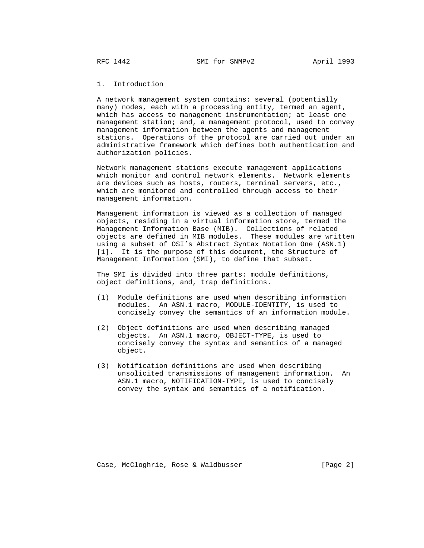# 1. Introduction

 A network management system contains: several (potentially many) nodes, each with a processing entity, termed an agent, which has access to management instrumentation; at least one management station; and, a management protocol, used to convey management information between the agents and management stations. Operations of the protocol are carried out under an administrative framework which defines both authentication and authorization policies.

 Network management stations execute management applications which monitor and control network elements. Network elements are devices such as hosts, routers, terminal servers, etc., which are monitored and controlled through access to their management information.

 Management information is viewed as a collection of managed objects, residing in a virtual information store, termed the Management Information Base (MIB). Collections of related objects are defined in MIB modules. These modules are written using a subset of OSI's Abstract Syntax Notation One (ASN.1) [1]. It is the purpose of this document, the Structure of Management Information (SMI), to define that subset.

 The SMI is divided into three parts: module definitions, object definitions, and, trap definitions.

- (1) Module definitions are used when describing information modules. An ASN.1 macro, MODULE-IDENTITY, is used to concisely convey the semantics of an information module.
- (2) Object definitions are used when describing managed objects. An ASN.1 macro, OBJECT-TYPE, is used to concisely convey the syntax and semantics of a managed object.
- (3) Notification definitions are used when describing unsolicited transmissions of management information. An ASN.1 macro, NOTIFICATION-TYPE, is used to concisely convey the syntax and semantics of a notification.

Case, McCloghrie, Rose & Waldbusser (Page 2)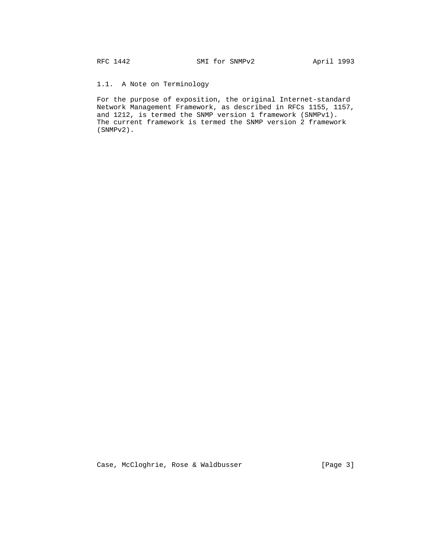# 1.1. A Note on Terminology

 For the purpose of exposition, the original Internet-standard Network Management Framework, as described in RFCs 1155, 1157, and 1212, is termed the SNMP version 1 framework (SNMPv1). The current framework is termed the SNMP version 2 framework (SNMPv2).

Case, McCloghrie, Rose & Waldbusser [Page 3]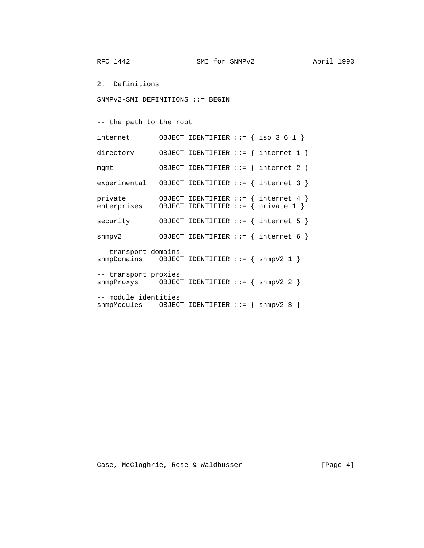2. Definitions

SNMPv2-SMI DEFINITIONS ::= BEGIN

-- the path to the root

| internet                                                                                         |  | OBJECT IDENTIFIER $::=$ { iso 3 6 1 }                                             |
|--------------------------------------------------------------------------------------------------|--|-----------------------------------------------------------------------------------|
| directory                                                                                        |  | OBJECT IDENTIFIER ::= $\{$ internet 1 $\}$                                        |
| mqmt                                                                                             |  | OBJECT IDENTIFIER ::= { internet 2 }                                              |
| $experimental$ OBJECT IDENTIFIER ::= { internet 3 }                                              |  |                                                                                   |
| private<br>enterprises                                                                           |  | OBJECT IDENTIFIER ::= $\{$ internet 4 $\}$<br>OBJECT IDENTIFIER ::= { private 1 } |
| security                                                                                         |  | OBJECT IDENTIFIER ::= $\{$ internet 5 $\}$                                        |
| snmpV2                                                                                           |  | OBJECT IDENTIFIER ::= $\{$ internet 6 $\}$                                        |
| -- transport domains<br>$s$ nmpDomains OBJECT IDENTIFIER ::= { $s$ nmpV2 1 }                     |  |                                                                                   |
| -- transport proxies<br>$snmpProxys$ OBJECT IDENTIFIER ::= { $snmpV2$ 2 }                        |  |                                                                                   |
| -- module identities<br>$s n m p \text{Modules}$ OBJECT IDENTIFIER ::= { $s n m p \text{V2}$ 3 } |  |                                                                                   |

Case, McCloghrie, Rose & Waldbusser [Page 4]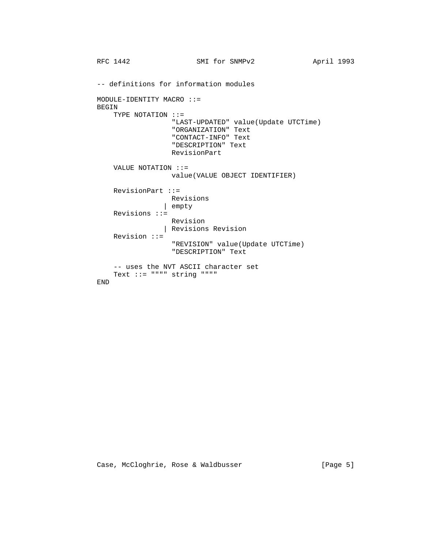```
RFC 1442 SMI for SNMPv2 April 1993
 -- definitions for information modules
 MODULE-IDENTITY MACRO ::=
 BEGIN
    TYPE NOTATION ::=
                  "LAST-UPDATED" value(Update UTCTime)
                  "ORGANIZATION" Text
                  "CONTACT-INFO" Text
                  "DESCRIPTION" Text
                  RevisionPart
    VALUE NOTATION ::=
                  value(VALUE OBJECT IDENTIFIER)
    RevisionPart ::=
                 Revisions
               | empty
     Revisions ::=
                 Revision
               | Revisions Revision
     Revision ::=
                  "REVISION" value(Update UTCTime)
                  "DESCRIPTION" Text
     -- uses the NVT ASCII character set
    Text ::= """" string """"
 END
```
Case, McCloghrie, Rose & Waldbusser [Page 5]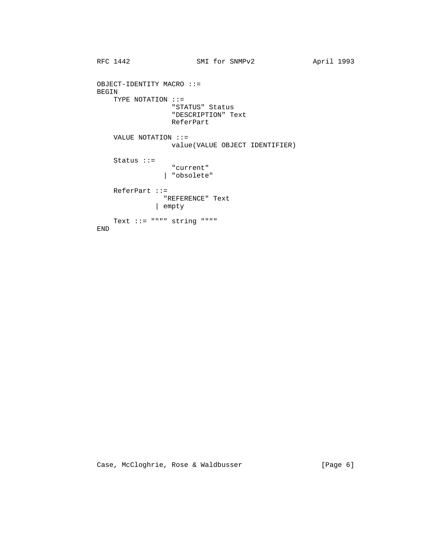```
RFC 1442 SMI for SNMPv2 April 1993
 OBJECT-IDENTITY MACRO ::=
 BEGIN
    TYPE NOTATION ::=
                 "STATUS" Status
                 "DESCRIPTION" Text
                 ReferPart
    VALUE NOTATION ::=
                 value(VALUE OBJECT IDENTIFIER)
    Status ::=
                 "current"
               | "obsolete"
    ReferPart ::=
               "REFERENCE" Text
              | empty
   Text ::= """" string """"
 END
```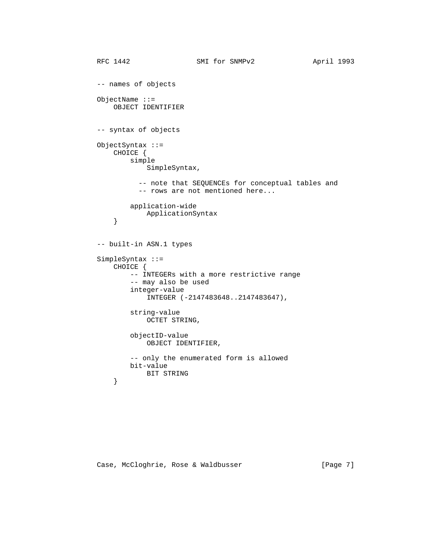```
RFC 1442 SMI for SNMPv2 April 1993
          -- names of objects
          ObjectName ::=
             OBJECT IDENTIFIER
          -- syntax of objects
          ObjectSyntax ::=
             CHOICE {
                 simple
                     SimpleSyntax,
                   -- note that SEQUENCEs for conceptual tables and
                   -- rows are not mentioned here...
                 application-wide
             ApplicationSyntax<br>}
 }
          -- built-in ASN.1 types
          SimpleSyntax ::=
              CHOICE {
                 -- INTEGERs with a more restrictive range
                 -- may also be used
                 integer-value
                     INTEGER (-2147483648..2147483647),
                 string-value
                     OCTET STRING,
                 objectID-value
                     OBJECT IDENTIFIER,
                 -- only the enumerated form is allowed
                 bit-value
             BIT STRING<br>}
 }
```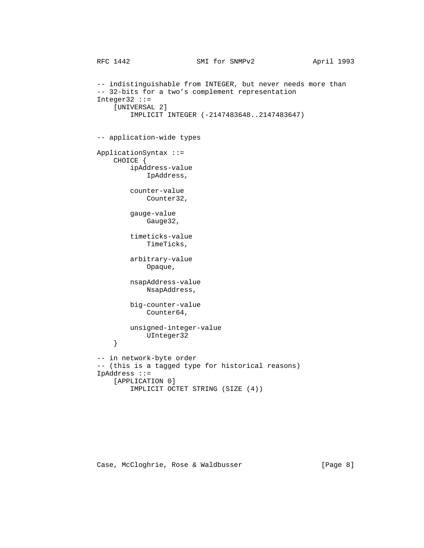```
RFC 1442 SMI for SNMPv2 April 1993
          -- indistinguishable from INTEGER, but never needs more than
          -- 32-bits for a two's complement representation
          Integer32 ::=
              [UNIVERSAL 2]
                  IMPLICIT INTEGER (-2147483648..2147483647)
          -- application-wide types
          ApplicationSyntax ::=
              CHOICE {
                  ipAddress-value
                      IpAddress,
                  counter-value
                      Counter32,
                  gauge-value
                      Gauge32,
                  timeticks-value
                      TimeTicks,
                  arbitrary-value
                      Opaque,
                  nsapAddress-value
                      NsapAddress,
                  big-counter-value
                      Counter64,
                  unsigned-integer-value
             UInteger32
 }
          -- in network-byte order
          -- (this is a tagged type for historical reasons)
          IpAddress ::=
              [APPLICATION 0]
                  IMPLICIT OCTET STRING (SIZE (4))
```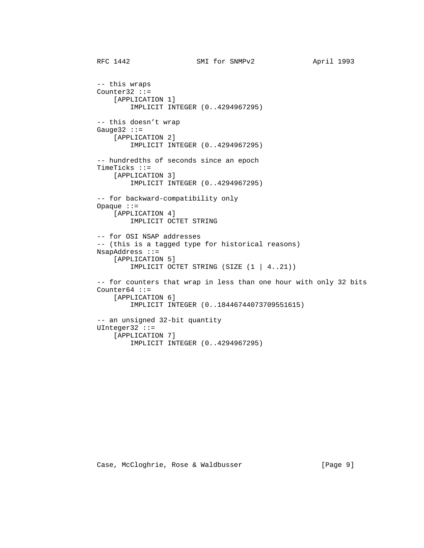```
RFC 1442 SMI for SNMPv2 April 1993
 -- this wraps
 Counter32 ::=
     [APPLICATION 1]
         IMPLICIT INTEGER (0..4294967295)
 -- this doesn't wrap
Gauge 32 : :=
     [APPLICATION 2]
         IMPLICIT INTEGER (0..4294967295)
 -- hundredths of seconds since an epoch
 TimeTicks ::=
     [APPLICATION 3]
        IMPLICIT INTEGER (0..4294967295)
 -- for backward-compatibility only
 Opaque ::=
     [APPLICATION 4]
         IMPLICIT OCTET STRING
 -- for OSI NSAP addresses
 -- (this is a tagged type for historical reasons)
 NsapAddress ::=
     [APPLICATION 5]
         IMPLICIT OCTET STRING (SIZE (1 | 4..21))
 -- for counters that wrap in less than one hour with only 32 bits
Counter64 ::=
     [APPLICATION 6]
         IMPLICIT INTEGER (0..18446744073709551615)
 -- an unsigned 32-bit quantity
 UInteger32 ::=
     [APPLICATION 7]
         IMPLICIT INTEGER (0..4294967295)
```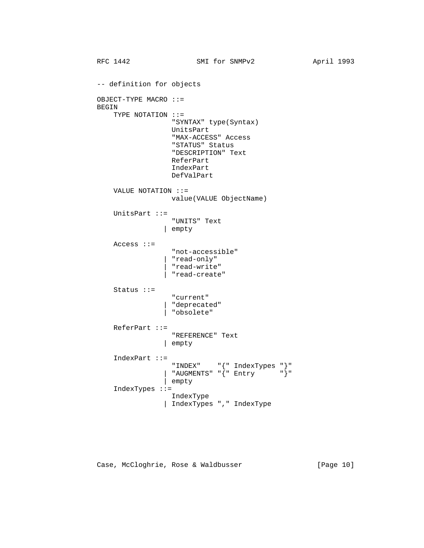```
RFC 1442 SMI for SNMPv2 April 1993
 -- definition for objects
 OBJECT-TYPE MACRO ::=
 BEGIN
     TYPE NOTATION ::=
                   "SYNTAX" type(Syntax)
                   UnitsPart
                   "MAX-ACCESS" Access
                   "STATUS" Status
                   "DESCRIPTION" Text
                   ReferPart
                   IndexPart
                   DefValPart
     VALUE NOTATION ::=
                  value(VALUE ObjectName)
     UnitsPart ::=
                  "UNITS" Text
                | empty
     Access ::=
                   "not-accessible"
                 | "read-only"
                  | "read-write"
                  | "read-create"
     Status ::=
                   "current"
                 | "deprecated"
                 | "obsolete"
     ReferPart ::=
                   "REFERENCE" Text
                | empty
     IndexPart ::=
                  "INDEX" "{" IndexTypes "}"
                | "AUGMENTS" "\left\{ " Entry "\right\}"
                 | empty
     IndexTypes ::=
                  IndexType
                 | IndexTypes "," IndexType
```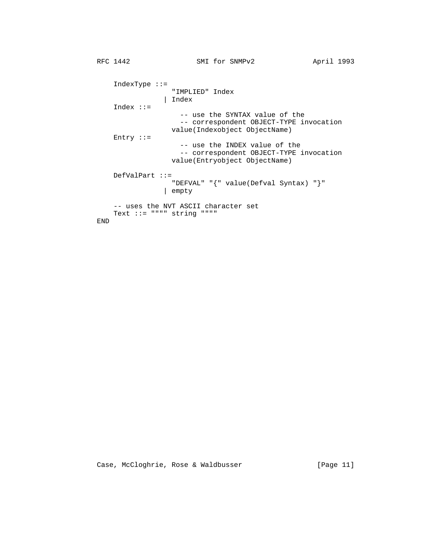```
RFC 1442 SMI for SNMPv2 April 1993
 IndexType ::=
 "IMPLIED" Index
 | Index
            Index ::=
                         -- use the SYNTAX value of the
                         -- correspondent OBJECT-TYPE invocation
                       value(Indexobject ObjectName)
            Entry ::=
                         -- use the INDEX value of the
                         -- correspondent OBJECT-TYPE invocation
                        value(Entryobject ObjectName)
            DefValPart ::=
                       "DEFVAL" "{" value(Defval Syntax) "}"
                      | empty
            -- uses the NVT ASCII character set
            Text ::= """" string """"
         END
```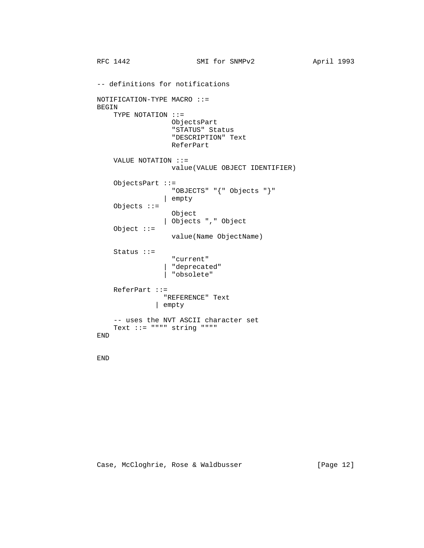```
RFC 1442 SMI for SNMPv2 April 1993
         -- definitions for notifications
         NOTIFICATION-TYPE MACRO ::=
         BEGIN
             TYPE NOTATION ::=
                         ObjectsPart
                         "STATUS" Status
                         "DESCRIPTION" Text
                         ReferPart
             VALUE NOTATION ::=
                         value(VALUE OBJECT IDENTIFIER)
             ObjectsPart ::=
                         "OBJECTS" "{" Objects "}"
                       | empty
             Objects ::=
                         Object
                       | Objects "," Object
             Object ::=
                        value(Name ObjectName)
             Status ::=
                         "current"
 | "deprecated"
 | "obsolete"
             ReferPart ::=
                       "REFERENCE" Text
                     | empty
             -- uses the NVT ASCII character set
             Text ::= """" string """"
         END
```
END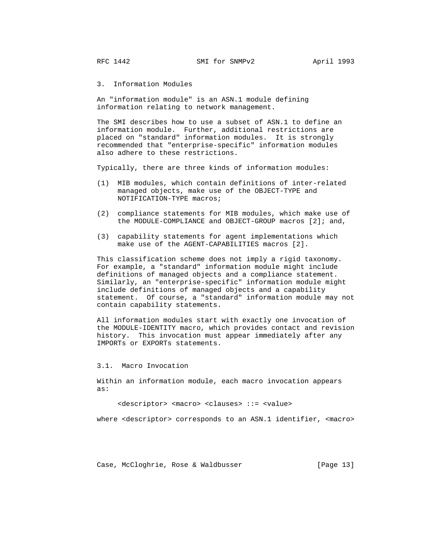3. Information Modules

 An "information module" is an ASN.1 module defining information relating to network management.

 The SMI describes how to use a subset of ASN.1 to define an information module. Further, additional restrictions are placed on "standard" information modules. It is strongly recommended that "enterprise-specific" information modules also adhere to these restrictions.

Typically, there are three kinds of information modules:

- (1) MIB modules, which contain definitions of inter-related managed objects, make use of the OBJECT-TYPE and NOTIFICATION-TYPE macros;
- (2) compliance statements for MIB modules, which make use of the MODULE-COMPLIANCE and OBJECT-GROUP macros [2]; and,
- (3) capability statements for agent implementations which make use of the AGENT-CAPABILITIES macros [2].

 This classification scheme does not imply a rigid taxonomy. For example, a "standard" information module might include definitions of managed objects and a compliance statement. Similarly, an "enterprise-specific" information module might include definitions of managed objects and a capability statement. Of course, a "standard" information module may not contain capability statements.

 All information modules start with exactly one invocation of the MODULE-IDENTITY macro, which provides contact and revision history. This invocation must appear immediately after any IMPORTs or EXPORTs statements.

3.1. Macro Invocation

 Within an information module, each macro invocation appears as:

<descriptor> <macro> <clauses> ::= <value>

where <descriptor> corresponds to an ASN.1 identifier, <macro>

Case, McCloghrie, Rose & Waldbusser [Page 13]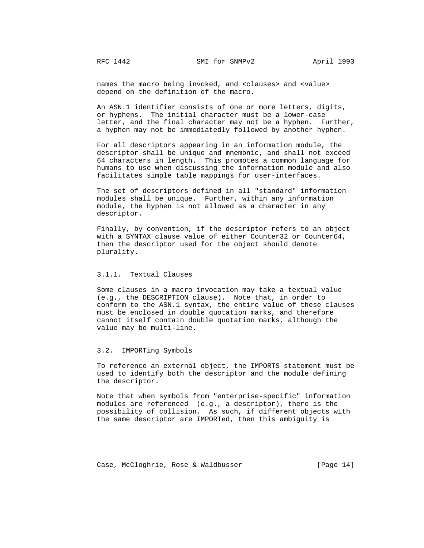names the macro being invoked, and <clauses> and <value> depend on the definition of the macro.

 An ASN.1 identifier consists of one or more letters, digits, or hyphens. The initial character must be a lower-case letter, and the final character may not be a hyphen. Further, a hyphen may not be immediatedly followed by another hyphen.

 For all descriptors appearing in an information module, the descriptor shall be unique and mnemonic, and shall not exceed 64 characters in length. This promotes a common language for humans to use when discussing the information module and also facilitates simple table mappings for user-interfaces.

 The set of descriptors defined in all "standard" information modules shall be unique. Further, within any information module, the hyphen is not allowed as a character in any descriptor.

 Finally, by convention, if the descriptor refers to an object with a SYNTAX clause value of either Counter32 or Counter64, then the descriptor used for the object should denote plurality.

# 3.1.1. Textual Clauses

 Some clauses in a macro invocation may take a textual value (e.g., the DESCRIPTION clause). Note that, in order to conform to the ASN.1 syntax, the entire value of these clauses must be enclosed in double quotation marks, and therefore cannot itself contain double quotation marks, although the value may be multi-line.

# 3.2. IMPORTing Symbols

 To reference an external object, the IMPORTS statement must be used to identify both the descriptor and the module defining the descriptor.

 Note that when symbols from "enterprise-specific" information modules are referenced (e.g., a descriptor), there is the possibility of collision. As such, if different objects with the same descriptor are IMPORTed, then this ambiguity is

Case, McCloghrie, Rose & Waldbusser [Page 14]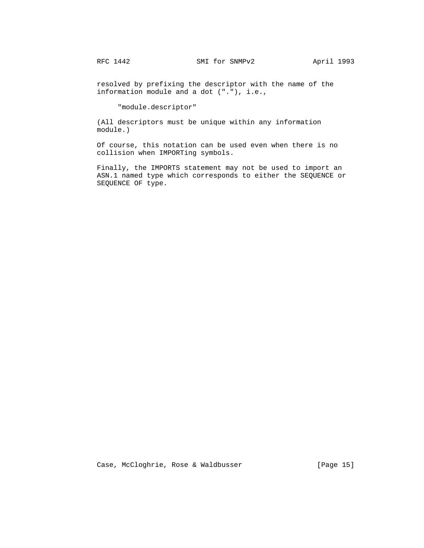resolved by prefixing the descriptor with the name of the information module and a dot ("."), i.e.,

"module.descriptor"

 (All descriptors must be unique within any information module.)

 Of course, this notation can be used even when there is no collision when IMPORTing symbols.

 Finally, the IMPORTS statement may not be used to import an ASN.1 named type which corresponds to either the SEQUENCE or SEQUENCE OF type.

Case, McCloghrie, Rose & Waldbusser [Page 15]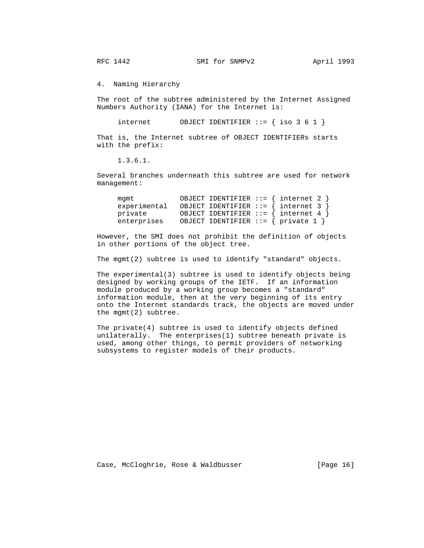RFC 1442 SMI for SNMPv2 April 1993

4. Naming Hierarchy

 The root of the subtree administered by the Internet Assigned Numbers Authority (IANA) for the Internet is:

internet  $OBJECT IDENTIFIER :: = { iso 3 6 1 }$ 

 That is, the Internet subtree of OBJECT IDENTIFIERs starts with the prefix:

1.3.6.1.

 Several branches underneath this subtree are used for network management:

| mamt        | OBJECT IDENTIFIER ::= $\{$ internet 2 $\}$          |
|-------------|-----------------------------------------------------|
|             | $experimental$ OBJECT IDENTIFIER ::= { internet 3 } |
| private     | OBJECT IDENTIFIER ::= $\{$ internet 4 $\}$          |
| enterprises | OBJECT IDENTIFIER ::= { private 1 }                 |

 However, the SMI does not prohibit the definition of objects in other portions of the object tree.

The mgmt(2) subtree is used to identify "standard" objects.

 The experimental(3) subtree is used to identify objects being designed by working groups of the IETF. If an information module produced by a working group becomes a "standard" information module, then at the very beginning of its entry onto the Internet standards track, the objects are moved under the mgmt(2) subtree.

 The private(4) subtree is used to identify objects defined unilaterally. The enterprises(1) subtree beneath private is used, among other things, to permit providers of networking subsystems to register models of their products.

Case, McCloghrie, Rose & Waldbusser (Page 16)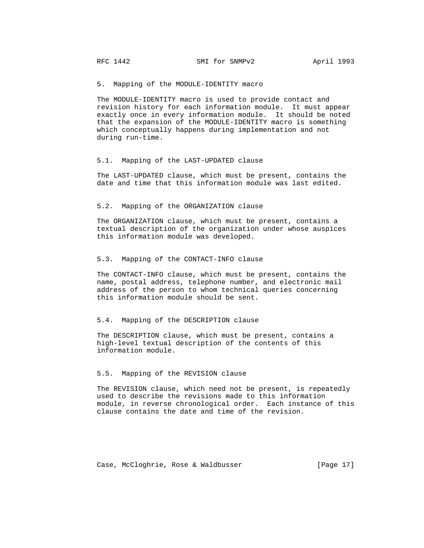5. Mapping of the MODULE-IDENTITY macro

 The MODULE-IDENTITY macro is used to provide contact and revision history for each information module. It must appear exactly once in every information module. It should be noted that the expansion of the MODULE-IDENTITY macro is something which conceptually happens during implementation and not during run-time.

#### 5.1. Mapping of the LAST-UPDATED clause

 The LAST-UPDATED clause, which must be present, contains the date and time that this information module was last edited.

#### 5.2. Mapping of the ORGANIZATION clause

 The ORGANIZATION clause, which must be present, contains a textual description of the organization under whose auspices this information module was developed.

## 5.3. Mapping of the CONTACT-INFO clause

 The CONTACT-INFO clause, which must be present, contains the name, postal address, telephone number, and electronic mail address of the person to whom technical queries concerning this information module should be sent.

# 5.4. Mapping of the DESCRIPTION clause

 The DESCRIPTION clause, which must be present, contains a high-level textual description of the contents of this information module.

# 5.5. Mapping of the REVISION clause

 The REVISION clause, which need not be present, is repeatedly used to describe the revisions made to this information module, in reverse chronological order. Each instance of this clause contains the date and time of the revision.

Case, McCloghrie, Rose & Waldbusser [Page 17]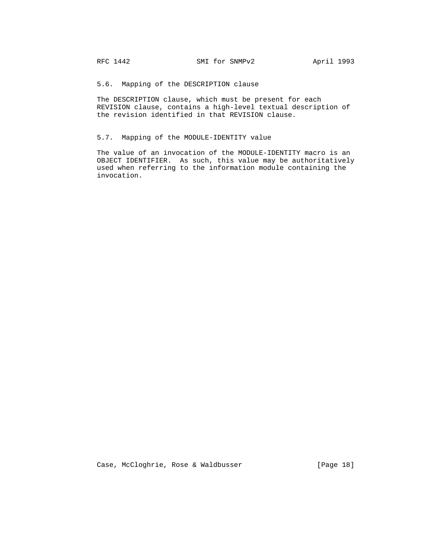5.6. Mapping of the DESCRIPTION clause

 The DESCRIPTION clause, which must be present for each REVISION clause, contains a high-level textual description of the revision identified in that REVISION clause.

# 5.7. Mapping of the MODULE-IDENTITY value

 The value of an invocation of the MODULE-IDENTITY macro is an OBJECT IDENTIFIER. As such, this value may be authoritatively used when referring to the information module containing the invocation.

Case, McCloghrie, Rose & Waldbusser [Page 18]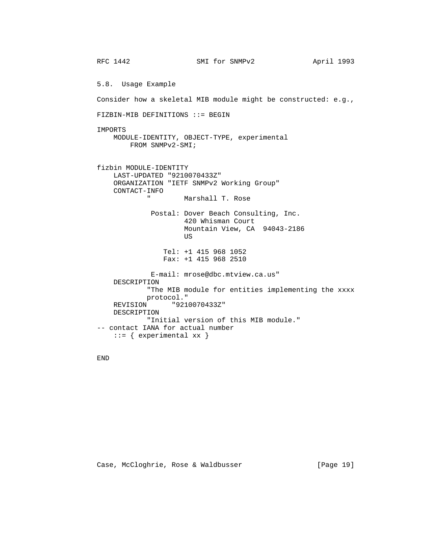RFC 1442 SMI for SNMPv2 April 1993 5.8. Usage Example Consider how a skeletal MIB module might be constructed: e.g., FIZBIN-MIB DEFINITIONS ::= BEGIN IMPORTS MODULE-IDENTITY, OBJECT-TYPE, experimental FROM SNMPv2-SMI; fizbin MODULE-IDENTITY LAST-UPDATED "9210070433Z" ORGANIZATION "IETF SNMPv2 Working Group" CONTACT-INFO " Marshall T. Rose Postal: Dover Beach Consulting, Inc. 420 Whisman Court Mountain View, CA 94043-2186 US And the state of the state of the state of the state of the state of the state of the state of the state of the state of the state of the state of the state of the state of the state of the state of the state of the sta Tel: +1 415 968 1052 Fax: +1 415 968 2510 E-mail: mrose@dbc.mtview.ca.us" DESCRIPTION "The MIB module for entities implementing the xxxx protocol." REVISION "9210070433Z" DESCRIPTION "Initial version of this MIB module." -- contact IANA for actual number  $::=$  { experimental  $xx$  }

END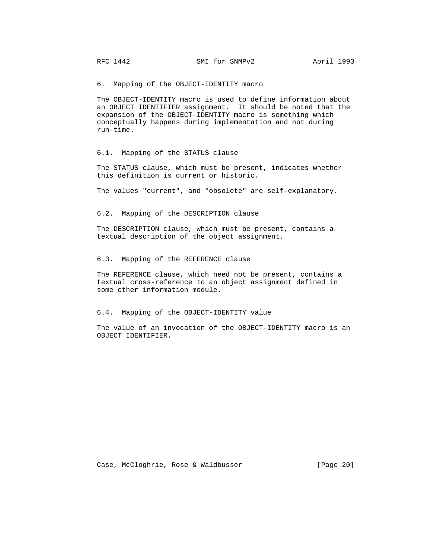6. Mapping of the OBJECT-IDENTITY macro

 The OBJECT-IDENTITY macro is used to define information about an OBJECT IDENTIFIER assignment. It should be noted that the expansion of the OBJECT-IDENTITY macro is something which conceptually happens during implementation and not during run-time.

## 6.1. Mapping of the STATUS clause

 The STATUS clause, which must be present, indicates whether this definition is current or historic.

The values "current", and "obsolete" are self-explanatory.

6.2. Mapping of the DESCRIPTION clause

 The DESCRIPTION clause, which must be present, contains a textual description of the object assignment.

6.3. Mapping of the REFERENCE clause

 The REFERENCE clause, which need not be present, contains a textual cross-reference to an object assignment defined in some other information module.

6.4. Mapping of the OBJECT-IDENTITY value

 The value of an invocation of the OBJECT-IDENTITY macro is an OBJECT IDENTIFIER.

Case, McCloghrie, Rose & Waldbusser [Page 20]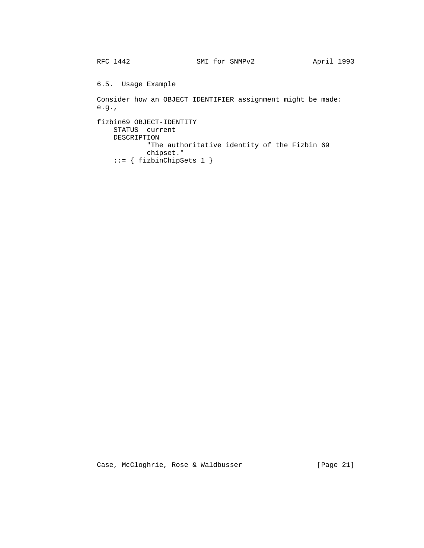6.5. Usage Example

 Consider how an OBJECT IDENTIFIER assignment might be made: e.g.,

```
 fizbin69 OBJECT-IDENTITY
     STATUS current
     DESCRIPTION
             "The authoritative identity of the Fizbin 69
             chipset."
    ::= { fizbinChipSets 1 }
```
Case, McCloghrie, Rose & Waldbusser [Page 21]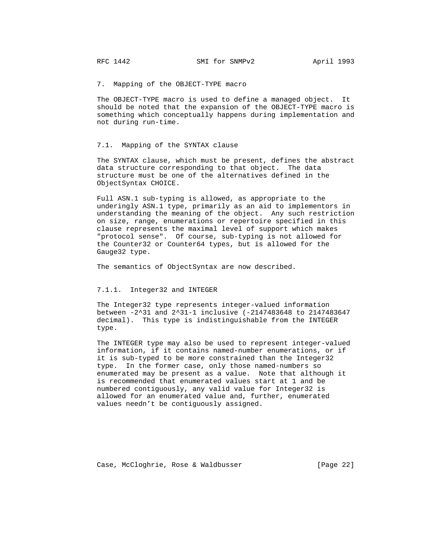7. Mapping of the OBJECT-TYPE macro

 The OBJECT-TYPE macro is used to define a managed object. It should be noted that the expansion of the OBJECT-TYPE macro is something which conceptually happens during implementation and not during run-time.

# 7.1. Mapping of the SYNTAX clause

 The SYNTAX clause, which must be present, defines the abstract data structure corresponding to that object. The data structure must be one of the alternatives defined in the ObjectSyntax CHOICE.

 Full ASN.1 sub-typing is allowed, as appropriate to the underingly ASN.1 type, primarily as an aid to implementors in understanding the meaning of the object. Any such restriction on size, range, enumerations or repertoire specified in this clause represents the maximal level of support which makes "protocol sense". Of course, sub-typing is not allowed for the Counter32 or Counter64 types, but is allowed for the Gauge32 type.

The semantics of ObjectSyntax are now described.

## 7.1.1. Integer32 and INTEGER

 The Integer32 type represents integer-valued information between -2^31 and 2^31-1 inclusive (-2147483648 to 2147483647 decimal). This type is indistinguishable from the INTEGER type.

 The INTEGER type may also be used to represent integer-valued information, if it contains named-number enumerations, or if it is sub-typed to be more constrained than the Integer32 type. In the former case, only those named-numbers so enumerated may be present as a value. Note that although it is recommended that enumerated values start at 1 and be numbered contiguously, any valid value for Integer32 is allowed for an enumerated value and, further, enumerated values needn't be contiguously assigned.

Case, McCloghrie, Rose & Waldbusser [Page 22]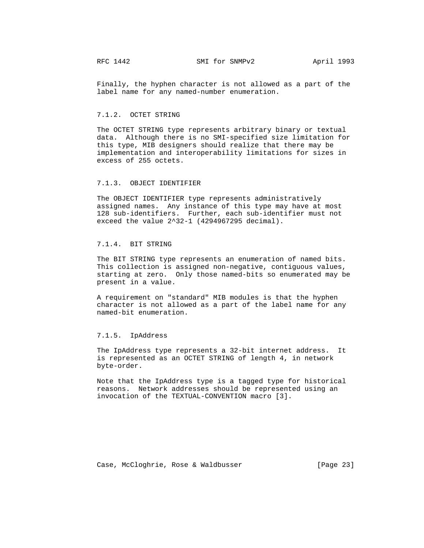Finally, the hyphen character is not allowed as a part of the label name for any named-number enumeration.

# 7.1.2. OCTET STRING

 The OCTET STRING type represents arbitrary binary or textual data. Although there is no SMI-specified size limitation for this type, MIB designers should realize that there may be implementation and interoperability limitations for sizes in excess of 255 octets.

# 7.1.3. OBJECT IDENTIFIER

 The OBJECT IDENTIFIER type represents administratively assigned names. Any instance of this type may have at most 128 sub-identifiers. Further, each sub-identifier must not exceed the value 2^32-1 (4294967295 decimal).

# 7.1.4. BIT STRING

 The BIT STRING type represents an enumeration of named bits. This collection is assigned non-negative, contiguous values, starting at zero. Only those named-bits so enumerated may be present in a value.

 A requirement on "standard" MIB modules is that the hyphen character is not allowed as a part of the label name for any named-bit enumeration.

## 7.1.5. IpAddress

 The IpAddress type represents a 32-bit internet address. It is represented as an OCTET STRING of length 4, in network byte-order.

 Note that the IpAddress type is a tagged type for historical reasons. Network addresses should be represented using an invocation of the TEXTUAL-CONVENTION macro [3].

Case, McCloghrie, Rose & Waldbusser [Page 23]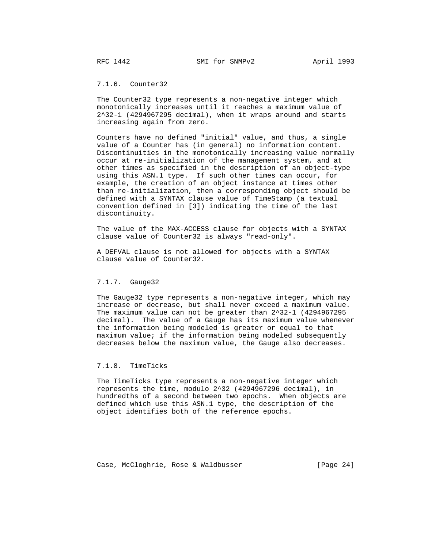# 7.1.6. Counter32

 The Counter32 type represents a non-negative integer which monotonically increases until it reaches a maximum value of 2^32-1 (4294967295 decimal), when it wraps around and starts increasing again from zero.

 Counters have no defined "initial" value, and thus, a single value of a Counter has (in general) no information content. Discontinuities in the monotonically increasing value normally occur at re-initialization of the management system, and at other times as specified in the description of an object-type using this ASN.1 type. If such other times can occur, for example, the creation of an object instance at times other than re-initialization, then a corresponding object should be defined with a SYNTAX clause value of TimeStamp (a textual convention defined in [3]) indicating the time of the last discontinuity.

 The value of the MAX-ACCESS clause for objects with a SYNTAX clause value of Counter32 is always "read-only".

 A DEFVAL clause is not allowed for objects with a SYNTAX clause value of Counter32.

# 7.1.7. Gauge32

 The Gauge32 type represents a non-negative integer, which may increase or decrease, but shall never exceed a maximum value. The maximum value can not be greater than 2^32-1 (4294967295 decimal). The value of a Gauge has its maximum value whenever the information being modeled is greater or equal to that maximum value; if the information being modeled subsequently decreases below the maximum value, the Gauge also decreases.

# 7.1.8. TimeTicks

 The TimeTicks type represents a non-negative integer which represents the time, modulo 2^32 (4294967296 decimal), in hundredths of a second between two epochs. When objects are defined which use this ASN.1 type, the description of the object identifies both of the reference epochs.

Case, McCloghrie, Rose & Waldbusser [Page 24]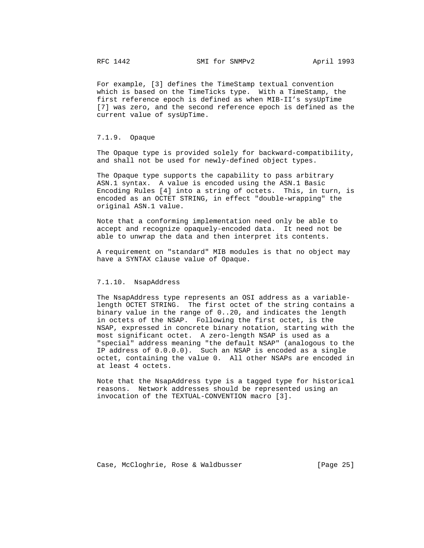For example, [3] defines the TimeStamp textual convention which is based on the TimeTicks type. With a TimeStamp, the first reference epoch is defined as when MIB-II's sysUpTime [7] was zero, and the second reference epoch is defined as the current value of sysUpTime.

7.1.9. Opaque

 The Opaque type is provided solely for backward-compatibility, and shall not be used for newly-defined object types.

 The Opaque type supports the capability to pass arbitrary ASN.1 syntax. A value is encoded using the ASN.1 Basic Encoding Rules [4] into a string of octets. This, in turn, is encoded as an OCTET STRING, in effect "double-wrapping" the original ASN.1 value.

 Note that a conforming implementation need only be able to accept and recognize opaquely-encoded data. It need not be able to unwrap the data and then interpret its contents.

 A requirement on "standard" MIB modules is that no object may have a SYNTAX clause value of Opaque.

# 7.1.10. NsapAddress

 The NsapAddress type represents an OSI address as a variable length OCTET STRING. The first octet of the string contains a binary value in the range of 0..20, and indicates the length in octets of the NSAP. Following the first octet, is the NSAP, expressed in concrete binary notation, starting with the most significant octet. A zero-length NSAP is used as a "special" address meaning "the default NSAP" (analogous to the IP address of 0.0.0.0). Such an NSAP is encoded as a single octet, containing the value 0. All other NSAPs are encoded in at least 4 octets.

 Note that the NsapAddress type is a tagged type for historical reasons. Network addresses should be represented using an invocation of the TEXTUAL-CONVENTION macro [3].

Case, McCloghrie, Rose & Waldbusser [Page 25]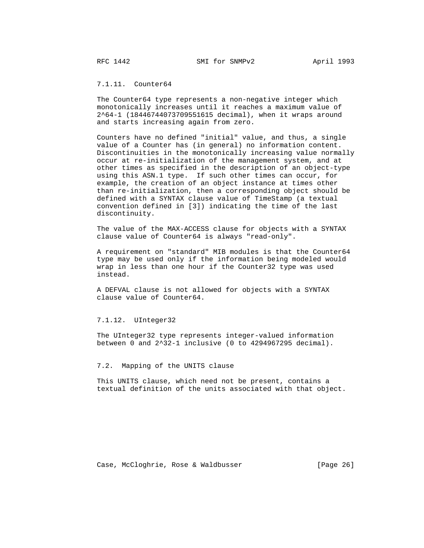# 7.1.11. Counter64

 The Counter64 type represents a non-negative integer which monotonically increases until it reaches a maximum value of 2^64-1 (18446744073709551615 decimal), when it wraps around and starts increasing again from zero.

 Counters have no defined "initial" value, and thus, a single value of a Counter has (in general) no information content. Discontinuities in the monotonically increasing value normally occur at re-initialization of the management system, and at other times as specified in the description of an object-type using this ASN.1 type. If such other times can occur, for example, the creation of an object instance at times other than re-initialization, then a corresponding object should be defined with a SYNTAX clause value of TimeStamp (a textual convention defined in [3]) indicating the time of the last discontinuity.

 The value of the MAX-ACCESS clause for objects with a SYNTAX clause value of Counter64 is always "read-only".

 A requirement on "standard" MIB modules is that the Counter64 type may be used only if the information being modeled would wrap in less than one hour if the Counter32 type was used instead.

 A DEFVAL clause is not allowed for objects with a SYNTAX clause value of Counter64.

# 7.1.12. UInteger32

 The UInteger32 type represents integer-valued information between 0 and 2^32-1 inclusive (0 to 4294967295 decimal).

7.2. Mapping of the UNITS clause

 This UNITS clause, which need not be present, contains a textual definition of the units associated with that object.

Case, McCloghrie, Rose & Waldbusser [Page 26]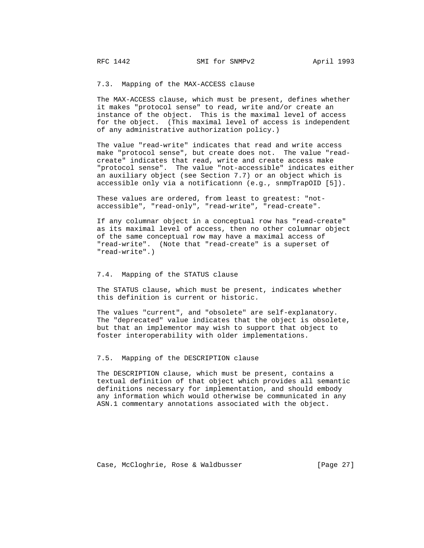## 7.3. Mapping of the MAX-ACCESS clause

 The MAX-ACCESS clause, which must be present, defines whether it makes "protocol sense" to read, write and/or create an instance of the object. This is the maximal level of access for the object. (This maximal level of access is independent of any administrative authorization policy.)

 The value "read-write" indicates that read and write access make "protocol sense", but create does not. The value "read create" indicates that read, write and create access make "protocol sense". The value "not-accessible" indicates either an auxiliary object (see Section 7.7) or an object which is accessible only via a notificationn (e.g., snmpTrapOID [5]).

 These values are ordered, from least to greatest: "not accessible", "read-only", "read-write", "read-create".

 If any columnar object in a conceptual row has "read-create" as its maximal level of access, then no other columnar object of the same conceptual row may have a maximal access of "read-write". (Note that "read-create" is a superset of "read-write".)

# 7.4. Mapping of the STATUS clause

 The STATUS clause, which must be present, indicates whether this definition is current or historic.

 The values "current", and "obsolete" are self-explanatory. The "deprecated" value indicates that the object is obsolete, but that an implementor may wish to support that object to foster interoperability with older implementations.

## 7.5. Mapping of the DESCRIPTION clause

 The DESCRIPTION clause, which must be present, contains a textual definition of that object which provides all semantic definitions necessary for implementation, and should embody any information which would otherwise be communicated in any ASN.1 commentary annotations associated with the object.

Case, McCloghrie, Rose & Waldbusser [Page 27]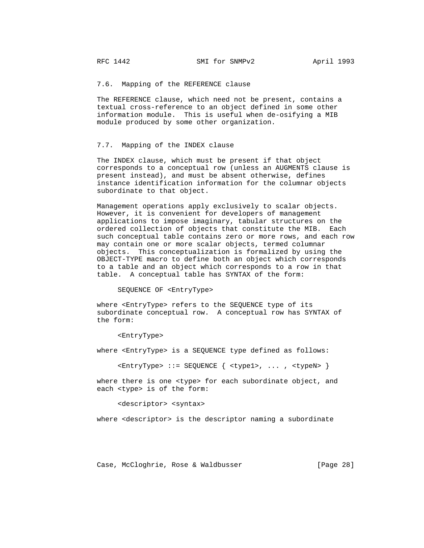7.6. Mapping of the REFERENCE clause

 The REFERENCE clause, which need not be present, contains a textual cross-reference to an object defined in some other information module. This is useful when de-osifying a MIB module produced by some other organization.

## 7.7. Mapping of the INDEX clause

 The INDEX clause, which must be present if that object corresponds to a conceptual row (unless an AUGMENTS clause is present instead), and must be absent otherwise, defines instance identification information for the columnar objects subordinate to that object.

 Management operations apply exclusively to scalar objects. However, it is convenient for developers of management applications to impose imaginary, tabular structures on the ordered collection of objects that constitute the MIB. Each such conceptual table contains zero or more rows, and each row may contain one or more scalar objects, termed columnar objects. This conceptualization is formalized by using the OBJECT-TYPE macro to define both an object which corresponds to a table and an object which corresponds to a row in that table. A conceptual table has SYNTAX of the form:

#### SEQUENCE OF <EntryType>

 where <EntryType> refers to the SEQUENCE type of its subordinate conceptual row. A conceptual row has SYNTAX of the form:

#### <EntryType>

where <EntryType> is a SEQUENCE type defined as follows:

<EntryType> ::= SEQUENCE { <type1>, ... , <typeN> }

where there is one <type> for each subordinate object, and each <type> is of the form:

#### <descriptor> <syntax>

where <descriptor> is the descriptor naming a subordinate

Case, McCloghrie, Rose & Waldbusser [Page 28]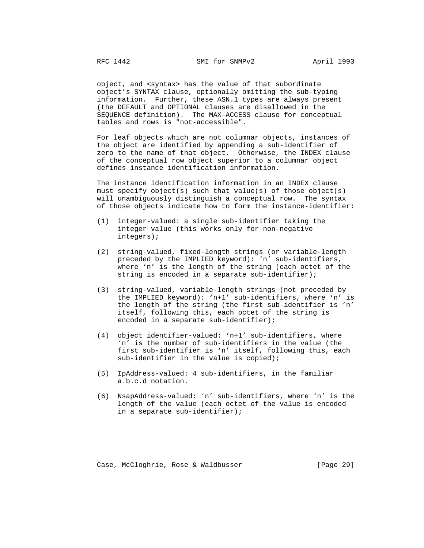object, and <syntax> has the value of that subordinate object's SYNTAX clause, optionally omitting the sub-typing information. Further, these ASN.1 types are always present (the DEFAULT and OPTIONAL clauses are disallowed in the SEQUENCE definition). The MAX-ACCESS clause for conceptual tables and rows is "not-accessible".

 For leaf objects which are not columnar objects, instances of the object are identified by appending a sub-identifier of zero to the name of that object. Otherwise, the INDEX clause of the conceptual row object superior to a columnar object defines instance identification information.

 The instance identification information in an INDEX clause must specify object(s) such that value(s) of those object(s) will unambiguously distinguish a conceptual row. The syntax of those objects indicate how to form the instance-identifier:

- (1) integer-valued: a single sub-identifier taking the integer value (this works only for non-negative integers);
- (2) string-valued, fixed-length strings (or variable-length preceded by the IMPLIED keyword): 'n' sub-identifiers, where 'n' is the length of the string (each octet of the string is encoded in a separate sub-identifier);
- (3) string-valued, variable-length strings (not preceded by the IMPLIED keyword): 'n+1' sub-identifiers, where 'n' is the length of the string (the first sub-identifier is 'n' itself, following this, each octet of the string is encoded in a separate sub-identifier);
- (4) object identifier-valued: 'n+1' sub-identifiers, where 'n' is the number of sub-identifiers in the value (the first sub-identifier is 'n' itself, following this, each sub-identifier in the value is copied);
- (5) IpAddress-valued: 4 sub-identifiers, in the familiar a.b.c.d notation.
- (6) NsapAddress-valued: 'n' sub-identifiers, where 'n' is the length of the value (each octet of the value is encoded in a separate sub-identifier);

Case, McCloghrie, Rose & Waldbusser [Page 29]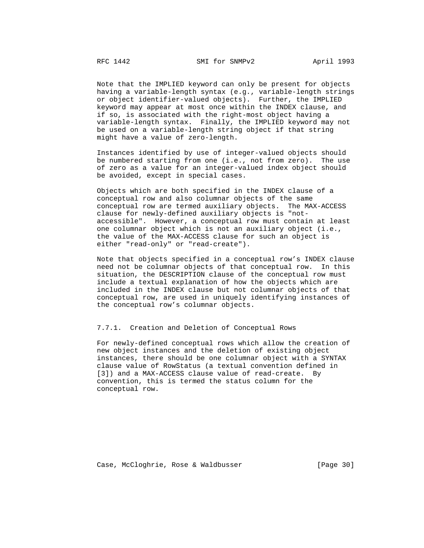Note that the IMPLIED keyword can only be present for objects having a variable-length syntax (e.g., variable-length strings or object identifier-valued objects). Further, the IMPLIED keyword may appear at most once within the INDEX clause, and if so, is associated with the right-most object having a variable-length syntax. Finally, the IMPLIED keyword may not be used on a variable-length string object if that string might have a value of zero-length.

 Instances identified by use of integer-valued objects should be numbered starting from one (i.e., not from zero). The use of zero as a value for an integer-valued index object should be avoided, except in special cases.

 Objects which are both specified in the INDEX clause of a conceptual row and also columnar objects of the same conceptual row are termed auxiliary objects. The MAX-ACCESS clause for newly-defined auxiliary objects is "not accessible". However, a conceptual row must contain at least one columnar object which is not an auxiliary object (i.e., the value of the MAX-ACCESS clause for such an object is either "read-only" or "read-create").

 Note that objects specified in a conceptual row's INDEX clause need not be columnar objects of that conceptual row. In this situation, the DESCRIPTION clause of the conceptual row must include a textual explanation of how the objects which are included in the INDEX clause but not columnar objects of that conceptual row, are used in uniquely identifying instances of the conceptual row's columnar objects.

# 7.7.1. Creation and Deletion of Conceptual Rows

 For newly-defined conceptual rows which allow the creation of new object instances and the deletion of existing object instances, there should be one columnar object with a SYNTAX clause value of RowStatus (a textual convention defined in [3]) and a MAX-ACCESS clause value of read-create. By convention, this is termed the status column for the conceptual row.

Case, McCloghrie, Rose & Waldbusser [Page 30]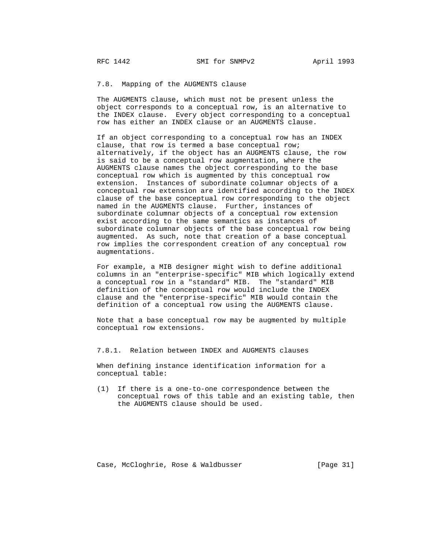## 7.8. Mapping of the AUGMENTS clause

 The AUGMENTS clause, which must not be present unless the object corresponds to a conceptual row, is an alternative to the INDEX clause. Every object corresponding to a conceptual row has either an INDEX clause or an AUGMENTS clause.

 If an object corresponding to a conceptual row has an INDEX clause, that row is termed a base conceptual row; alternatively, if the object has an AUGMENTS clause, the row is said to be a conceptual row augmentation, where the AUGMENTS clause names the object corresponding to the base conceptual row which is augmented by this conceptual row extension. Instances of subordinate columnar objects of a conceptual row extension are identified according to the INDEX clause of the base conceptual row corresponding to the object named in the AUGMENTS clause. Further, instances of subordinate columnar objects of a conceptual row extension exist according to the same semantics as instances of subordinate columnar objects of the base conceptual row being augmented. As such, note that creation of a base conceptual row implies the correspondent creation of any conceptual row augmentations.

 For example, a MIB designer might wish to define additional columns in an "enterprise-specific" MIB which logically extend a conceptual row in a "standard" MIB. The "standard" MIB definition of the conceptual row would include the INDEX clause and the "enterprise-specific" MIB would contain the definition of a conceptual row using the AUGMENTS clause.

 Note that a base conceptual row may be augmented by multiple conceptual row extensions.

7.8.1. Relation between INDEX and AUGMENTS clauses

 When defining instance identification information for a conceptual table:

 (1) If there is a one-to-one correspondence between the conceptual rows of this table and an existing table, then the AUGMENTS clause should be used.

Case, McCloghrie, Rose & Waldbusser [Page 31]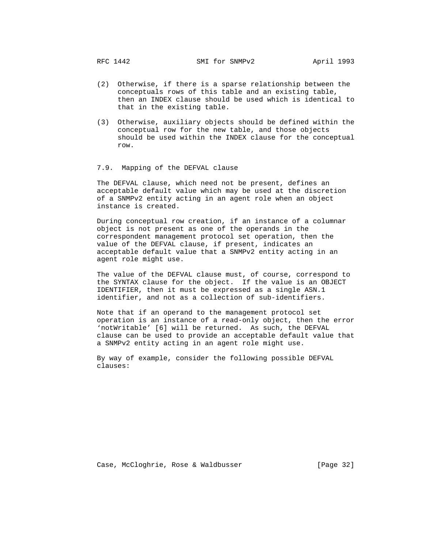- (2) Otherwise, if there is a sparse relationship between the conceptuals rows of this table and an existing table, then an INDEX clause should be used which is identical to that in the existing table.
- (3) Otherwise, auxiliary objects should be defined within the conceptual row for the new table, and those objects should be used within the INDEX clause for the conceptual row.

# 7.9. Mapping of the DEFVAL clause

 The DEFVAL clause, which need not be present, defines an acceptable default value which may be used at the discretion of a SNMPv2 entity acting in an agent role when an object instance is created.

 During conceptual row creation, if an instance of a columnar object is not present as one of the operands in the correspondent management protocol set operation, then the value of the DEFVAL clause, if present, indicates an acceptable default value that a SNMPv2 entity acting in an agent role might use.

 The value of the DEFVAL clause must, of course, correspond to the SYNTAX clause for the object. If the value is an OBJECT IDENTIFIER, then it must be expressed as a single ASN.1 identifier, and not as a collection of sub-identifiers.

 Note that if an operand to the management protocol set operation is an instance of a read-only object, then the error 'notWritable' [6] will be returned. As such, the DEFVAL clause can be used to provide an acceptable default value that a SNMPv2 entity acting in an agent role might use.

 By way of example, consider the following possible DEFVAL clauses:

Case, McCloghrie, Rose & Waldbusser [Page 32]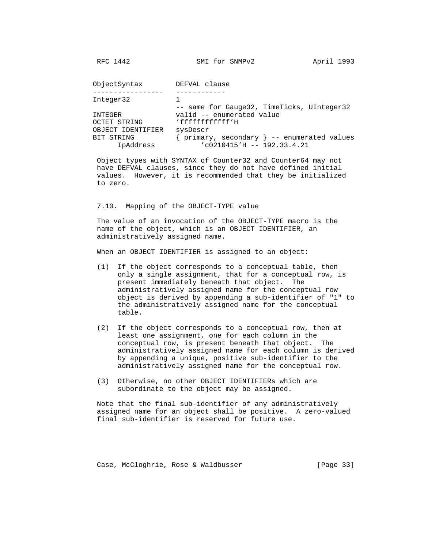| ObjectSyntax      | DEFVAL clause                              |
|-------------------|--------------------------------------------|
|                   |                                            |
| Integer32         |                                            |
|                   | -- same for Gauge32, TimeTicks, UInteger32 |
| INTEGER           | valid -- enumerated value                  |
| OCTET STRING      | 'fffffffffffff'H                           |
| OBJECT IDENTIFIER | sysDescr                                   |
| BIT STRING        | primary, secondary } -- enumerated values  |
| IpAddress         | $'c0210415'$ H -- 192.33.4.21              |

 Object types with SYNTAX of Counter32 and Counter64 may not have DEFVAL clauses, since they do not have defined initial values. However, it is recommended that they be initialized to zero.

7.10. Mapping of the OBJECT-TYPE value

 The value of an invocation of the OBJECT-TYPE macro is the name of the object, which is an OBJECT IDENTIFIER, an administratively assigned name.

When an OBJECT IDENTIFIER is assigned to an object:

- (1) If the object corresponds to a conceptual table, then only a single assignment, that for a conceptual row, is present immediately beneath that object. The administratively assigned name for the conceptual row object is derived by appending a sub-identifier of "1" to the administratively assigned name for the conceptual table.
- (2) If the object corresponds to a conceptual row, then at least one assignment, one for each column in the conceptual row, is present beneath that object. The administratively assigned name for each column is derived by appending a unique, positive sub-identifier to the administratively assigned name for the conceptual row.
- (3) Otherwise, no other OBJECT IDENTIFIERs which are subordinate to the object may be assigned.

 Note that the final sub-identifier of any administratively assigned name for an object shall be positive. A zero-valued final sub-identifier is reserved for future use.

Case, McCloghrie, Rose & Waldbusser (Page 33)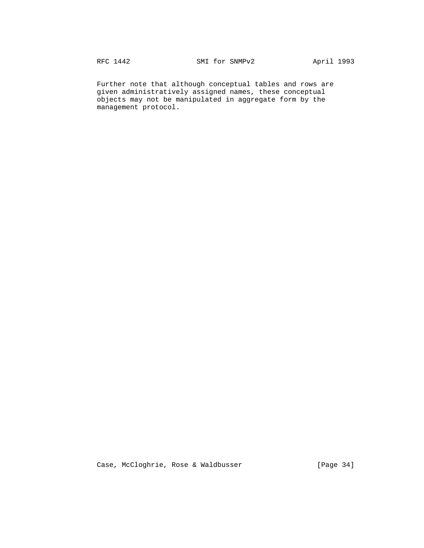Further note that although conceptual tables and rows are given administratively assigned names, these conceptual objects may not be manipulated in aggregate form by the management protocol.

Case, McCloghrie, Rose & Waldbusser [Page 34]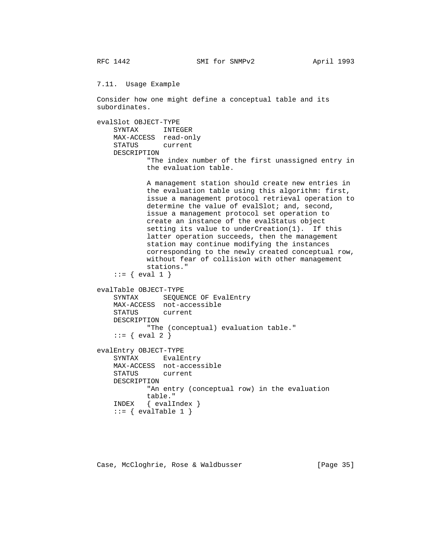7.11. Usage Example

 Consider how one might define a conceptual table and its subordinates.

```
 evalSlot OBJECT-TYPE
     SYNTAX INTEGER
     MAX-ACCESS read-only
     STATUS current
     DESCRIPTION
             "The index number of the first unassigned entry in
             the evaluation table.
            A management station should create new entries in
            the evaluation table using this algorithm: first,
             issue a management protocol retrieval operation to
           determine the value of evalSlot; and, second,
            issue a management protocol set operation to
            create an instance of the evalStatus object
            setting its value to underCreation(1). If this
            latter operation succeeds, then the management
             station may continue modifying the instances
             corresponding to the newly created conceptual row,
            without fear of collision with other management
             stations."
    ::= { eval 1 }
 evalTable OBJECT-TYPE
     SYNTAX SEQUENCE OF EvalEntry
     MAX-ACCESS not-accessible
     STATUS current
     DESCRIPTION
            "The (conceptual) evaluation table."
    ::= { eval 2 }
 evalEntry OBJECT-TYPE
     SYNTAX EvalEntry
     MAX-ACCESS not-accessible
     STATUS current
     DESCRIPTION
            "An entry (conceptual row) in the evaluation
            table."
     INDEX { evalIndex }
    ::= { evalTable 1 }
```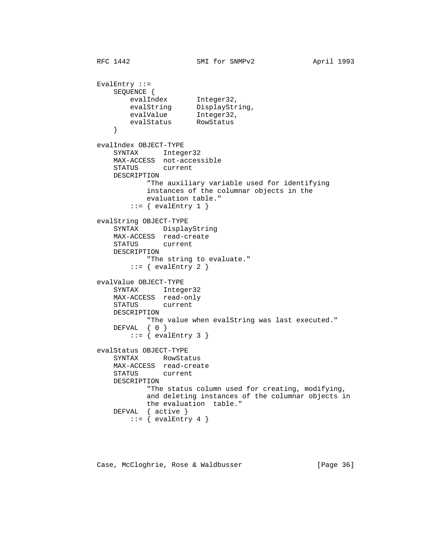```
RFC 1442 SMI for SNMPv2 April 1993
        EvalEntry ::= SEQUENCE {
evalIndex Integer32,
evalString DisplayString,
evalValue Integer32,
evalStatus RowStatus
 }
         evalIndex OBJECT-TYPE
             SYNTAX Integer32
            MAX-ACCESS not-accessible<br>STATUS current
            STATUS
             DESCRIPTION
                    "The auxiliary variable used for identifying
                    instances of the columnar objects in the
                   evaluation table."
               ::= { evalEntry 1 }
         evalString OBJECT-TYPE
             SYNTAX DisplayString
             MAX-ACCESS read-create
             STATUS current
             DESCRIPTION
                    "The string to evaluate."
               ::= { evalEntry 2 }
         evalValue OBJECT-TYPE
             SYNTAX Integer32
             MAX-ACCESS read-only
             STATUS current
             DESCRIPTION
                 "The value when evalString was last executed."
             DEFVAL { 0 }
               ::= { evalEntry 3 }
         evalStatus OBJECT-TYPE
             SYNTAX RowStatus
             MAX-ACCESS read-create
             STATUS current
             DESCRIPTION
                    "The status column used for creating, modifying,
                    and deleting instances of the columnar objects in
                   the evaluation table."
            DEFVAL { active }
               ::= { evalEntry 4 }
```
Case, McCloghrie, Rose & Waldbusser [Page 36]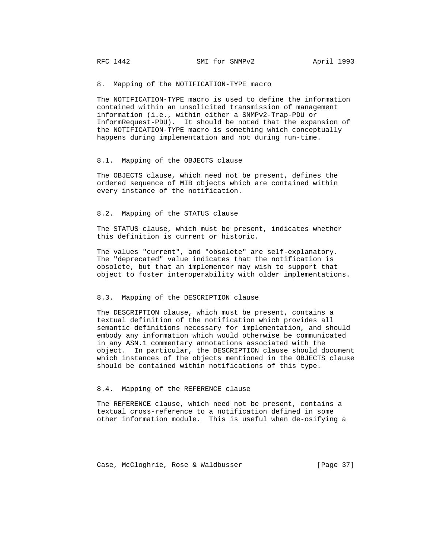8. Mapping of the NOTIFICATION-TYPE macro

 The NOTIFICATION-TYPE macro is used to define the information contained within an unsolicited transmission of management information (i.e., within either a SNMPv2-Trap-PDU or InformRequest-PDU). It should be noted that the expansion of the NOTIFICATION-TYPE macro is something which conceptually happens during implementation and not during run-time.

#### 8.1. Mapping of the OBJECTS clause

 The OBJECTS clause, which need not be present, defines the ordered sequence of MIB objects which are contained within every instance of the notification.

## 8.2. Mapping of the STATUS clause

 The STATUS clause, which must be present, indicates whether this definition is current or historic.

 The values "current", and "obsolete" are self-explanatory. The "deprecated" value indicates that the notification is obsolete, but that an implementor may wish to support that object to foster interoperability with older implementations.

#### 8.3. Mapping of the DESCRIPTION clause

 The DESCRIPTION clause, which must be present, contains a textual definition of the notification which provides all semantic definitions necessary for implementation, and should embody any information which would otherwise be communicated in any ASN.1 commentary annotations associated with the object. In particular, the DESCRIPTION clause should document which instances of the objects mentioned in the OBJECTS clause should be contained within notifications of this type.

#### 8.4. Mapping of the REFERENCE clause

 The REFERENCE clause, which need not be present, contains a textual cross-reference to a notification defined in some other information module. This is useful when de-osifying a

Case, McCloghrie, Rose & Waldbusser [Page 37]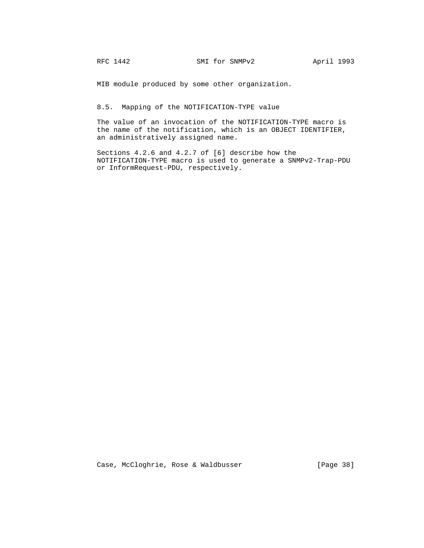MIB module produced by some other organization.

8.5. Mapping of the NOTIFICATION-TYPE value

 The value of an invocation of the NOTIFICATION-TYPE macro is the name of the notification, which is an OBJECT IDENTIFIER, an administratively assigned name.

 Sections 4.2.6 and 4.2.7 of [6] describe how the NOTIFICATION-TYPE macro is used to generate a SNMPv2-Trap-PDU or InformRequest-PDU, respectively.

Case, McCloghrie, Rose & Waldbusser (Page 38)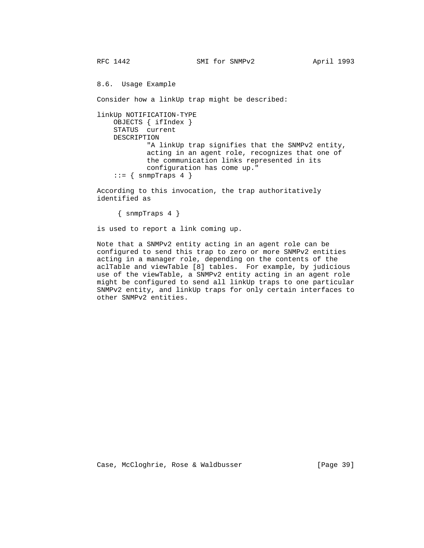8.6. Usage Example

Consider how a linkUp trap might be described:

```
 linkUp NOTIFICATION-TYPE
     OBJECTS { ifIndex }
     STATUS current
    DESCRIPTION
             "A linkUp trap signifies that the SNMPv2 entity,
             acting in an agent role, recognizes that one of
             the communication links represented in its
             configuration has come up."
    ::= { snmpTraps 4 }
```
 According to this invocation, the trap authoritatively identified as

{ snmpTraps 4 }

is used to report a link coming up.

 Note that a SNMPv2 entity acting in an agent role can be configured to send this trap to zero or more SNMPv2 entities acting in a manager role, depending on the contents of the aclTable and viewTable [8] tables. For example, by judicious use of the viewTable, a SNMPv2 entity acting in an agent role might be configured to send all linkUp traps to one particular SNMPv2 entity, and linkUp traps for only certain interfaces to other SNMPv2 entities.

Case, McCloghrie, Rose & Waldbusser [Page 39]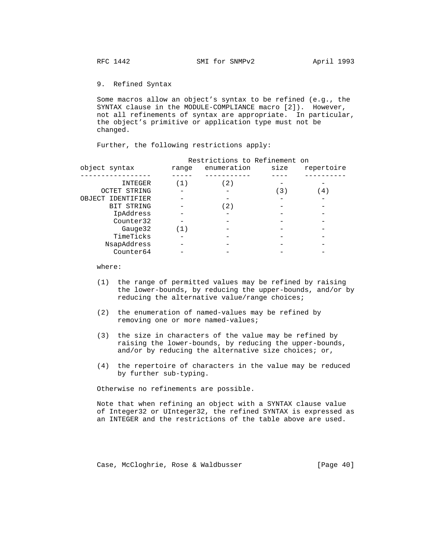9. Refined Syntax

 Some macros allow an object's syntax to be refined (e.g., the SYNTAX clause in the MODULE-COMPLIANCE macro [2]). However, not all refinements of syntax are appropriate. In particular, the object's primitive or application type must not be changed.

Further, the following restrictions apply:

|                     |       | Restrictions to Refinement on |      |            |
|---------------------|-------|-------------------------------|------|------------|
| object syntax       | range | enumeration                   | size | repertoire |
|                     |       |                               |      |            |
| INTEGER             | (1)   | 〔2〕                           |      |            |
| <b>OCTET STRING</b> |       |                               | (3)  | 4)         |
| OBJECT IDENTIFIER   |       |                               |      |            |
| BIT STRING          |       | (2)                           |      |            |
| IpAddress           |       |                               |      |            |
| Counter32           |       |                               |      |            |
| Gauge32             | (1)   |                               |      |            |
| TimeTicks           |       |                               |      |            |
| NsapAddress         |       |                               |      |            |
| Counter64           |       |                               |      |            |
|                     |       |                               |      |            |

where:

- (1) the range of permitted values may be refined by raising the lower-bounds, by reducing the upper-bounds, and/or by reducing the alternative value/range choices;
- (2) the enumeration of named-values may be refined by removing one or more named-values;
- (3) the size in characters of the value may be refined by raising the lower-bounds, by reducing the upper-bounds, and/or by reducing the alternative size choices; or,
- (4) the repertoire of characters in the value may be reduced by further sub-typing.

Otherwise no refinements are possible.

 Note that when refining an object with a SYNTAX clause value of Integer32 or UInteger32, the refined SYNTAX is expressed as an INTEGER and the restrictions of the table above are used.

Case, McCloghrie, Rose & Waldbusser [Page 40]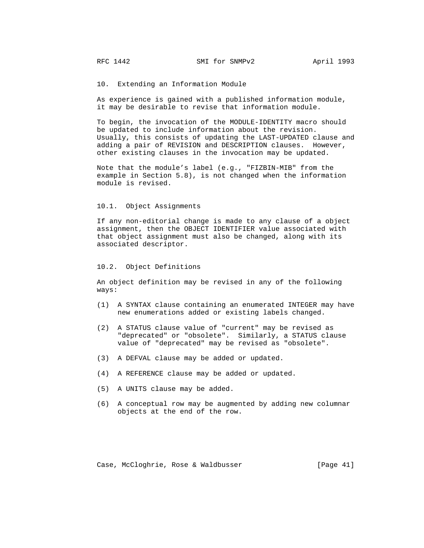10. Extending an Information Module

 As experience is gained with a published information module, it may be desirable to revise that information module.

 To begin, the invocation of the MODULE-IDENTITY macro should be updated to include information about the revision. Usually, this consists of updating the LAST-UPDATED clause and adding a pair of REVISION and DESCRIPTION clauses. However, other existing clauses in the invocation may be updated.

 Note that the module's label (e.g., "FIZBIN-MIB" from the example in Section 5.8), is not changed when the information module is revised.

#### 10.1. Object Assignments

 If any non-editorial change is made to any clause of a object assignment, then the OBJECT IDENTIFIER value associated with that object assignment must also be changed, along with its associated descriptor.

### 10.2. Object Definitions

 An object definition may be revised in any of the following ways:

- (1) A SYNTAX clause containing an enumerated INTEGER may have new enumerations added or existing labels changed.
- (2) A STATUS clause value of "current" may be revised as "deprecated" or "obsolete". Similarly, a STATUS clause value of "deprecated" may be revised as "obsolete".
- (3) A DEFVAL clause may be added or updated.
- (4) A REFERENCE clause may be added or updated.
- (5) A UNITS clause may be added.
- (6) A conceptual row may be augmented by adding new columnar objects at the end of the row.

Case, McCloghrie, Rose & Waldbusser [Page 41]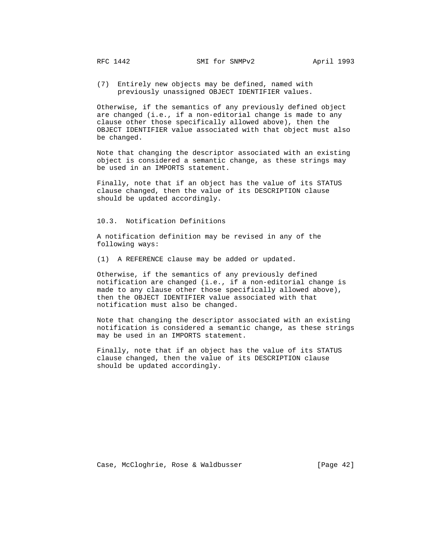(7) Entirely new objects may be defined, named with previously unassigned OBJECT IDENTIFIER values.

 Otherwise, if the semantics of any previously defined object are changed (i.e., if a non-editorial change is made to any clause other those specifically allowed above), then the OBJECT IDENTIFIER value associated with that object must also be changed.

 Note that changing the descriptor associated with an existing object is considered a semantic change, as these strings may be used in an IMPORTS statement.

 Finally, note that if an object has the value of its STATUS clause changed, then the value of its DESCRIPTION clause should be updated accordingly.

## 10.3. Notification Definitions

 A notification definition may be revised in any of the following ways:

(1) A REFERENCE clause may be added or updated.

 Otherwise, if the semantics of any previously defined notification are changed (i.e., if a non-editorial change is made to any clause other those specifically allowed above), then the OBJECT IDENTIFIER value associated with that notification must also be changed.

 Note that changing the descriptor associated with an existing notification is considered a semantic change, as these strings may be used in an IMPORTS statement.

 Finally, note that if an object has the value of its STATUS clause changed, then the value of its DESCRIPTION clause should be updated accordingly.

Case, McCloghrie, Rose & Waldbusser [Page 42]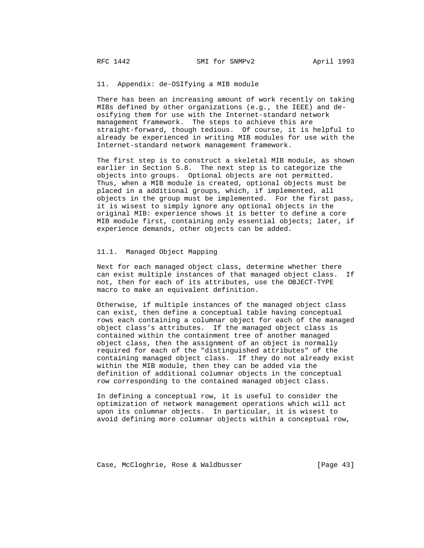## 11. Appendix: de-OSIfying a MIB module

 There has been an increasing amount of work recently on taking MIBs defined by other organizations (e.g., the IEEE) and de osifying them for use with the Internet-standard network management framework. The steps to achieve this are straight-forward, though tedious. Of course, it is helpful to already be experienced in writing MIB modules for use with the Internet-standard network management framework.

 The first step is to construct a skeletal MIB module, as shown earlier in Section 5.8. The next step is to categorize the objects into groups. Optional objects are not permitted. Thus, when a MIB module is created, optional objects must be placed in a additional groups, which, if implemented, all objects in the group must be implemented. For the first pass, it is wisest to simply ignore any optional objects in the original MIB: experience shows it is better to define a core MIB module first, containing only essential objects; later, if experience demands, other objects can be added.

# 11.1. Managed Object Mapping

 Next for each managed object class, determine whether there can exist multiple instances of that managed object class. If not, then for each of its attributes, use the OBJECT-TYPE macro to make an equivalent definition.

 Otherwise, if multiple instances of the managed object class can exist, then define a conceptual table having conceptual rows each containing a columnar object for each of the managed object class's attributes. If the managed object class is contained within the containment tree of another managed object class, then the assignment of an object is normally required for each of the "distinguished attributes" of the containing managed object class. If they do not already exist within the MIB module, then they can be added via the definition of additional columnar objects in the conceptual row corresponding to the contained managed object class.

 In defining a conceptual row, it is useful to consider the optimization of network management operations which will act upon its columnar objects. In particular, it is wisest to avoid defining more columnar objects within a conceptual row,

Case, McCloghrie, Rose & Waldbusser [Page 43]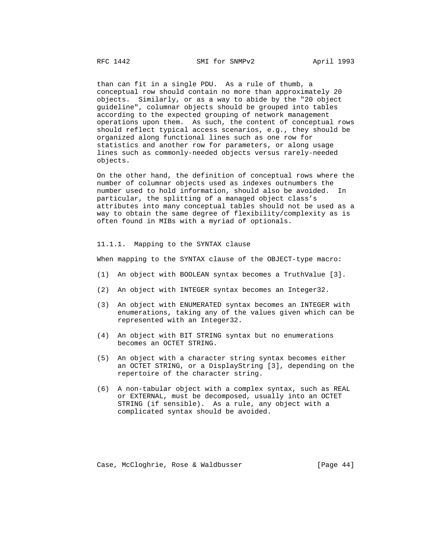than can fit in a single PDU. As a rule of thumb, a conceptual row should contain no more than approximately 20 objects. Similarly, or as a way to abide by the "20 object guideline", columnar objects should be grouped into tables according to the expected grouping of network management operations upon them. As such, the content of conceptual rows should reflect typical access scenarios, e.g., they should be organized along functional lines such as one row for statistics and another row for parameters, or along usage lines such as commonly-needed objects versus rarely-needed objects.

 On the other hand, the definition of conceptual rows where the number of columnar objects used as indexes outnumbers the number used to hold information, should also be avoided. In particular, the splitting of a managed object class's attributes into many conceptual tables should not be used as a way to obtain the same degree of flexibility/complexity as is often found in MIBs with a myriad of optionals.

## 11.1.1. Mapping to the SYNTAX clause

When mapping to the SYNTAX clause of the OBJECT-type macro:

- (1) An object with BOOLEAN syntax becomes a TruthValue [3].
- (2) An object with INTEGER syntax becomes an Integer32.
- (3) An object with ENUMERATED syntax becomes an INTEGER with enumerations, taking any of the values given which can be represented with an Integer32.
- (4) An object with BIT STRING syntax but no enumerations becomes an OCTET STRING.
- (5) An object with a character string syntax becomes either an OCTET STRING, or a DisplayString [3], depending on the repertoire of the character string.
- (6) A non-tabular object with a complex syntax, such as REAL or EXTERNAL, must be decomposed, usually into an OCTET STRING (if sensible). As a rule, any object with a complicated syntax should be avoided.

Case, McCloghrie, Rose & Waldbusser [Page 44]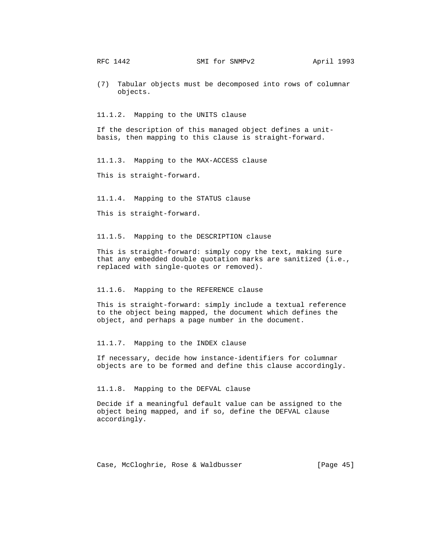(7) Tabular objects must be decomposed into rows of columnar objects.

11.1.2. Mapping to the UNITS clause

 If the description of this managed object defines a unit basis, then mapping to this clause is straight-forward.

11.1.3. Mapping to the MAX-ACCESS clause

This is straight-forward.

11.1.4. Mapping to the STATUS clause

This is straight-forward.

11.1.5. Mapping to the DESCRIPTION clause

 This is straight-forward: simply copy the text, making sure that any embedded double quotation marks are sanitized (i.e., replaced with single-quotes or removed).

#### 11.1.6. Mapping to the REFERENCE clause

 This is straight-forward: simply include a textual reference to the object being mapped, the document which defines the object, and perhaps a page number in the document.

11.1.7. Mapping to the INDEX clause

 If necessary, decide how instance-identifiers for columnar objects are to be formed and define this clause accordingly.

11.1.8. Mapping to the DEFVAL clause

 Decide if a meaningful default value can be assigned to the object being mapped, and if so, define the DEFVAL clause accordingly.

Case, McCloghrie, Rose & Waldbusser [Page 45]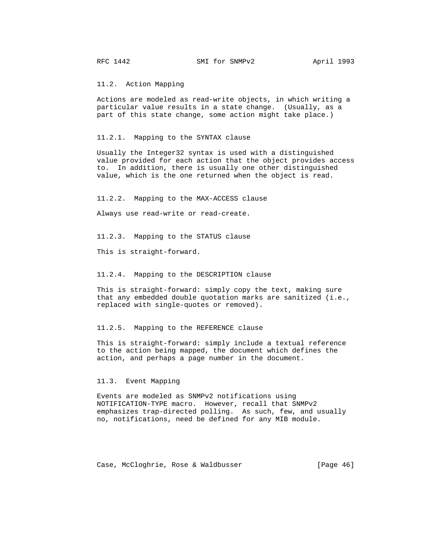RFC 1442 SMI for SNMPv2 April 1993

11.2. Action Mapping

 Actions are modeled as read-write objects, in which writing a particular value results in a state change. (Usually, as a part of this state change, some action might take place.)

11.2.1. Mapping to the SYNTAX clause

 Usually the Integer32 syntax is used with a distinguished value provided for each action that the object provides access to. In addition, there is usually one other distinguished value, which is the one returned when the object is read.

11.2.2. Mapping to the MAX-ACCESS clause

Always use read-write or read-create.

11.2.3. Mapping to the STATUS clause

This is straight-forward.

11.2.4. Mapping to the DESCRIPTION clause

 This is straight-forward: simply copy the text, making sure that any embedded double quotation marks are sanitized (i.e., replaced with single-quotes or removed).

## 11.2.5. Mapping to the REFERENCE clause

 This is straight-forward: simply include a textual reference to the action being mapped, the document which defines the action, and perhaps a page number in the document.

#### 11.3. Event Mapping

 Events are modeled as SNMPv2 notifications using NOTIFICATION-TYPE macro. However, recall that SNMPv2 emphasizes trap-directed polling. As such, few, and usually no, notifications, need be defined for any MIB module.

Case, McCloghrie, Rose & Waldbusser [Page 46]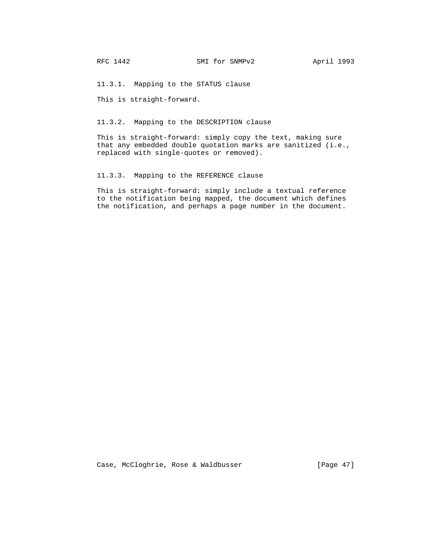11.3.1. Mapping to the STATUS clause

This is straight-forward.

11.3.2. Mapping to the DESCRIPTION clause

 This is straight-forward: simply copy the text, making sure that any embedded double quotation marks are sanitized (i.e., replaced with single-quotes or removed).

11.3.3. Mapping to the REFERENCE clause

 This is straight-forward: simply include a textual reference to the notification being mapped, the document which defines the notification, and perhaps a page number in the document.

Case, McCloghrie, Rose & Waldbusser [Page 47]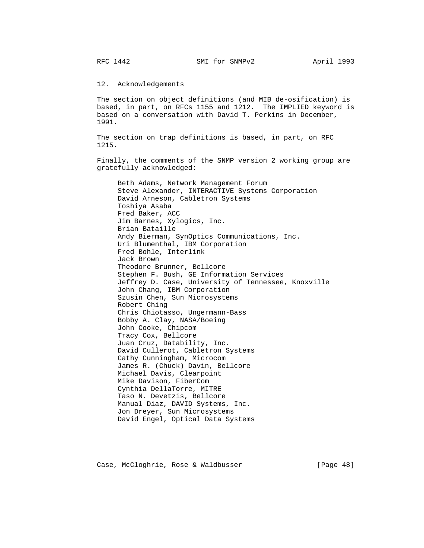12. Acknowledgements

 The section on object definitions (and MIB de-osification) is based, in part, on RFCs 1155 and 1212. The IMPLIED keyword is based on a conversation with David T. Perkins in December, 1991.

 The section on trap definitions is based, in part, on RFC 1215.

 Finally, the comments of the SNMP version 2 working group are gratefully acknowledged:

 Beth Adams, Network Management Forum Steve Alexander, INTERACTIVE Systems Corporation David Arneson, Cabletron Systems Toshiya Asaba Fred Baker, ACC Jim Barnes, Xylogics, Inc. Brian Bataille Andy Bierman, SynOptics Communications, Inc. Uri Blumenthal, IBM Corporation Fred Bohle, Interlink Jack Brown Theodore Brunner, Bellcore Stephen F. Bush, GE Information Services Jeffrey D. Case, University of Tennessee, Knoxville John Chang, IBM Corporation Szusin Chen, Sun Microsystems Robert Ching Chris Chiotasso, Ungermann-Bass Bobby A. Clay, NASA/Boeing John Cooke, Chipcom Tracy Cox, Bellcore Juan Cruz, Datability, Inc. David Cullerot, Cabletron Systems Cathy Cunningham, Microcom James R. (Chuck) Davin, Bellcore Michael Davis, Clearpoint Mike Davison, FiberCom Cynthia DellaTorre, MITRE Taso N. Devetzis, Bellcore Manual Diaz, DAVID Systems, Inc. Jon Dreyer, Sun Microsystems David Engel, Optical Data Systems

Case, McCloghrie, Rose & Waldbusser [Page 48]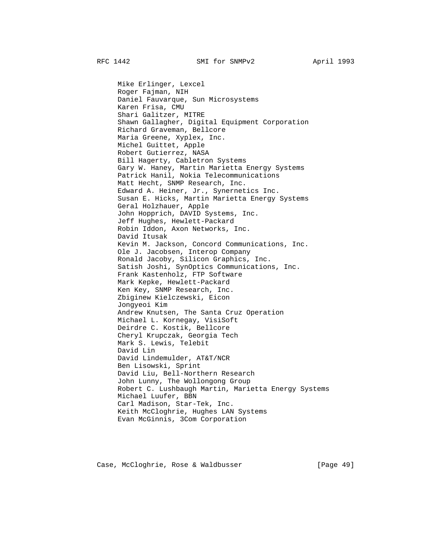Mike Erlinger, Lexcel Roger Fajman, NIH Daniel Fauvarque, Sun Microsystems Karen Frisa, CMU Shari Galitzer, MITRE Shawn Gallagher, Digital Equipment Corporation Richard Graveman, Bellcore Maria Greene, Xyplex, Inc. Michel Guittet, Apple Robert Gutierrez, NASA Bill Hagerty, Cabletron Systems Gary W. Haney, Martin Marietta Energy Systems Patrick Hanil, Nokia Telecommunications Matt Hecht, SNMP Research, Inc. Edward A. Heiner, Jr., Synernetics Inc. Susan E. Hicks, Martin Marietta Energy Systems Geral Holzhauer, Apple John Hopprich, DAVID Systems, Inc. Jeff Hughes, Hewlett-Packard Robin Iddon, Axon Networks, Inc. David Itusak Kevin M. Jackson, Concord Communications, Inc. Ole J. Jacobsen, Interop Company Ronald Jacoby, Silicon Graphics, Inc. Satish Joshi, SynOptics Communications, Inc. Frank Kastenholz, FTP Software Mark Kepke, Hewlett-Packard Ken Key, SNMP Research, Inc. Zbiginew Kielczewski, Eicon Jongyeoi Kim Andrew Knutsen, The Santa Cruz Operation Michael L. Kornegay, VisiSoft Deirdre C. Kostik, Bellcore Cheryl Krupczak, Georgia Tech Mark S. Lewis, Telebit David Lin David Lindemulder, AT&T/NCR Ben Lisowski, Sprint David Liu, Bell-Northern Research John Lunny, The Wollongong Group Robert C. Lushbaugh Martin, Marietta Energy Systems Michael Luufer, BBN Carl Madison, Star-Tek, Inc. Keith McCloghrie, Hughes LAN Systems Evan McGinnis, 3Com Corporation

Case, McCloghrie, Rose & Waldbusser [Page 49]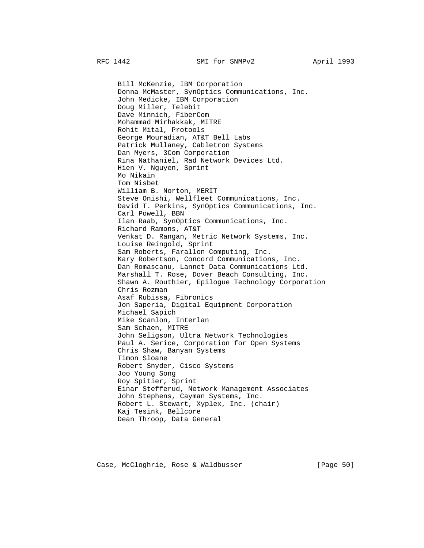Bill McKenzie, IBM Corporation Donna McMaster, SynOptics Communications, Inc. John Medicke, IBM Corporation Doug Miller, Telebit Dave Minnich, FiberCom Mohammad Mirhakkak, MITRE Rohit Mital, Protools George Mouradian, AT&T Bell Labs Patrick Mullaney, Cabletron Systems Dan Myers, 3Com Corporation Rina Nathaniel, Rad Network Devices Ltd. Hien V. Nguyen, Sprint Mo Nikain Tom Nisbet William B. Norton, MERIT Steve Onishi, Wellfleet Communications, Inc. David T. Perkins, SynOptics Communications, Inc. Carl Powell, BBN Ilan Raab, SynOptics Communications, Inc. Richard Ramons, AT&T Venkat D. Rangan, Metric Network Systems, Inc. Louise Reingold, Sprint Sam Roberts, Farallon Computing, Inc. Kary Robertson, Concord Communications, Inc. Dan Romascanu, Lannet Data Communications Ltd. Marshall T. Rose, Dover Beach Consulting, Inc. Shawn A. Routhier, Epilogue Technology Corporation Chris Rozman Asaf Rubissa, Fibronics Jon Saperia, Digital Equipment Corporation Michael Sapich Mike Scanlon, Interlan Sam Schaen, MITRE John Seligson, Ultra Network Technologies Paul A. Serice, Corporation for Open Systems Chris Shaw, Banyan Systems Timon Sloane Robert Snyder, Cisco Systems Joo Young Song Roy Spitier, Sprint Einar Stefferud, Network Management Associates John Stephens, Cayman Systems, Inc. Robert L. Stewart, Xyplex, Inc. (chair) Kaj Tesink, Bellcore Dean Throop, Data General

Case, McCloghrie, Rose & Waldbusser [Page 50]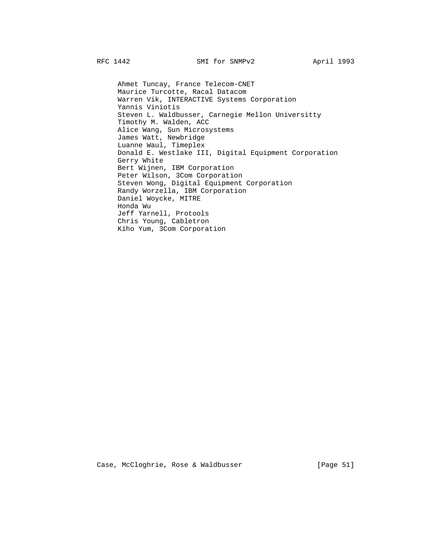Ahmet Tuncay, France Telecom-CNET Maurice Turcotte, Racal Datacom Warren Vik, INTERACTIVE Systems Corporation Yannis Viniotis Steven L. Waldbusser, Carnegie Mellon Universitty Timothy M. Walden, ACC Alice Wang, Sun Microsystems James Watt, Newbridge Luanne Waul, Timeplex Donald E. Westlake III, Digital Equipment Corporation Gerry White Bert Wijnen, IBM Corporation Peter Wilson, 3Com Corporation Steven Wong, Digital Equipment Corporation Randy Worzella, IBM Corporation Daniel Woycke, MITRE Honda Wu Jeff Yarnell, Protools Chris Young, Cabletron Kiho Yum, 3Com Corporation

Case, McCloghrie, Rose & Waldbusser [Page 51]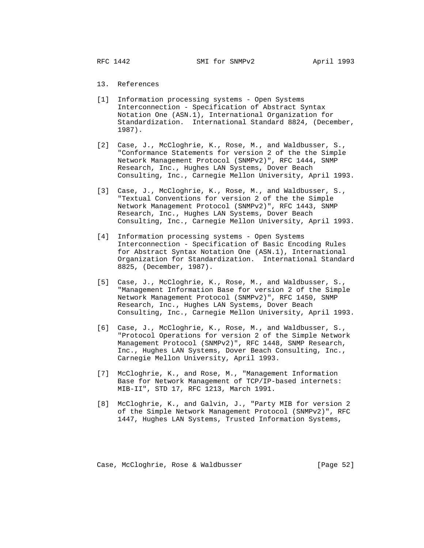- 13. References
- [1] Information processing systems Open Systems Interconnection - Specification of Abstract Syntax Notation One (ASN.1), International Organization for Standardization. International Standard 8824, (December, 1987).
- [2] Case, J., McCloghrie, K., Rose, M., and Waldbusser, S., "Conformance Statements for version 2 of the the Simple Network Management Protocol (SNMPv2)", RFC 1444, SNMP Research, Inc., Hughes LAN Systems, Dover Beach Consulting, Inc., Carnegie Mellon University, April 1993.
- [3] Case, J., McCloghrie, K., Rose, M., and Waldbusser, S., "Textual Conventions for version 2 of the the Simple Network Management Protocol (SNMPv2)", RFC 1443, SNMP Research, Inc., Hughes LAN Systems, Dover Beach Consulting, Inc., Carnegie Mellon University, April 1993.
- [4] Information processing systems Open Systems Interconnection - Specification of Basic Encoding Rules for Abstract Syntax Notation One (ASN.1), International Organization for Standardization. International Standard 8825, (December, 1987).
- [5] Case, J., McCloghrie, K., Rose, M., and Waldbusser, S., "Management Information Base for version 2 of the Simple Network Management Protocol (SNMPv2)", RFC 1450, SNMP Research, Inc., Hughes LAN Systems, Dover Beach Consulting, Inc., Carnegie Mellon University, April 1993.
- [6] Case, J., McCloghrie, K., Rose, M., and Waldbusser, S., "Protocol Operations for version 2 of the Simple Network Management Protocol (SNMPv2)", RFC 1448, SNMP Research, Inc., Hughes LAN Systems, Dover Beach Consulting, Inc., Carnegie Mellon University, April 1993.
- [7] McCloghrie, K., and Rose, M., "Management Information Base for Network Management of TCP/IP-based internets: MIB-II", STD 17, RFC 1213, March 1991.
- [8] McCloghrie, K., and Galvin, J., "Party MIB for version 2 of the Simple Network Management Protocol (SNMPv2)", RFC 1447, Hughes LAN Systems, Trusted Information Systems,

Case, McCloghrie, Rose & Waldbusser [Page 52]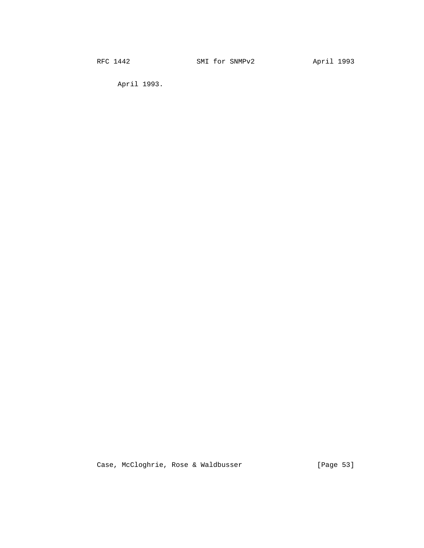April 1993.

Case, McCloghrie, Rose & Waldbusser [Page 53]